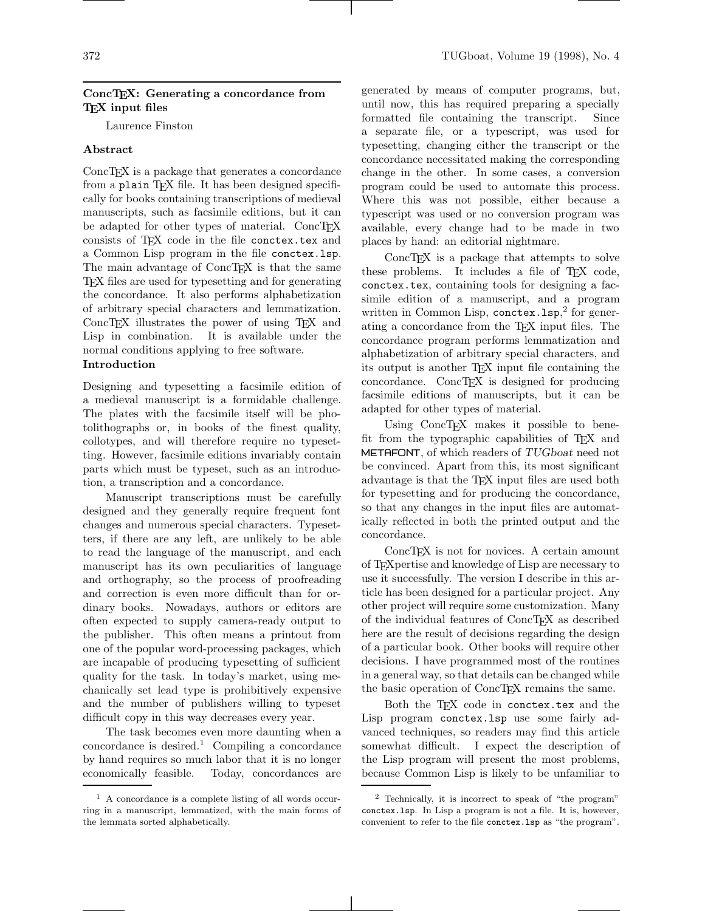# ConcTEX: Generating a concordance from TEX input files

Laurence Finston

# Abstract

ConcTEX is a package that generates a concordance from a plain TFX file. It has been designed specifically for books containing transcriptions of medieval manuscripts, such as facsimile editions, but it can be adapted for other types of material. ConcTEX consists of TFX code in the file conctex.tex and a Common Lisp program in the file conctex.lsp. The main advantage of ConcT<sub>EX</sub> is that the same TEX files are used for typesetting and for generating the concordance. It also performs alphabetization of arbitrary special characters and lemmatization. ConcTEX illustrates the power of using TEX and Lisp in combination. It is available under the normal conditions applying to free software.

# Introduction

Designing and typesetting a facsimile edition of a medieval manuscript is a formidable challenge. The plates with the facsimile itself will be photolithographs or, in books of the finest quality, collotypes, and will therefore require no typesetting. However, facsimile editions invariably contain parts which must be typeset, such as an introduction, a transcription and a concordance.

Manuscript transcriptions must be carefully designed and they generally require frequent font changes and numerous special characters. Typesetters, if there are any left, are unlikely to be able to read the language of the manuscript, and each manuscript has its own peculiarities of language and orthography, so the process of proofreading and correction is even more difficult than for ordinary books. Nowadays, authors or editors are often expected to supply camera-ready output to the publisher. This often means a printout from one of the popular word-processing packages, which are incapable of producing typesetting of sufficient quality for the task. In today's market, using mechanically set lead type is prohibitively expensive and the number of publishers willing to typeset difficult copy in this way decreases every year.

The task becomes even more daunting when a concordance is desired.<sup>1</sup> Compiling a concordance by hand requires so much labor that it is no longer economically feasible. Today, concordances are

generated by means of computer programs, but, until now, this has required preparing a specially formatted file containing the transcript. Since a separate file, or a typescript, was used for typesetting, changing either the transcript or the concordance necessitated making the corresponding change in the other. In some cases, a conversion program could be used to automate this process. Where this was not possible, either because a typescript was used or no conversion program was available, every change had to be made in two places by hand: an editorial nightmare.

ConcT<sub>EX</sub> is a package that attempts to solve these problems. It includes a file of TFX code, conctex.tex, containing tools for designing a facsimile edition of a manuscript, and a program written in Common Lisp, conctex. 1sp,<sup>2</sup> for generating a concordance from the TEX input files. The concordance program performs lemmatization and alphabetization of arbitrary special characters, and its output is another TEX input file containing the concordance. ConcT<sub>EX</sub> is designed for producing facsimile editions of manuscripts, but it can be adapted for other types of material.

Using ConcTFX makes it possible to benefit from the typographic capabilities of TEX and METAFONT, of which readers of TUGboat need not be convinced. Apart from this, its most significant advantage is that the TEX input files are used both for typesetting and for producing the concordance, so that any changes in the input files are automatically reflected in both the printed output and the concordance.

ConcT<sub>E</sub>X is not for novices. A certain amount of TEXpertise and knowledge of Lisp are necessary to use it successfully. The version I describe in this article has been designed for a particular project. Any other project will require some customization. Many of the individual features of ConcTEX as described here are the result of decisions regarding the design of a particular book. Other books will require other decisions. I have programmed most of the routines in a general way, so that details can be changed while the basic operation of ConcT<sub>EX</sub> remains the same.

Both the TFX code in conctex.tex and the Lisp program conctex.lsp use some fairly advanced techniques, so readers may find this article somewhat difficult. I expect the description of the Lisp program will present the most problems, because Common Lisp is likely to be unfamiliar to

<sup>1</sup> A concordance is a complete listing of all words occurring in a manuscript, lemmatized, with the main forms of the lemmata sorted alphabetically.

<sup>2</sup> Technically, it is incorrect to speak of "the program" conctex.lsp. In Lisp a program is not a file. It is, however, convenient to refer to the file conctex.lsp as "the program".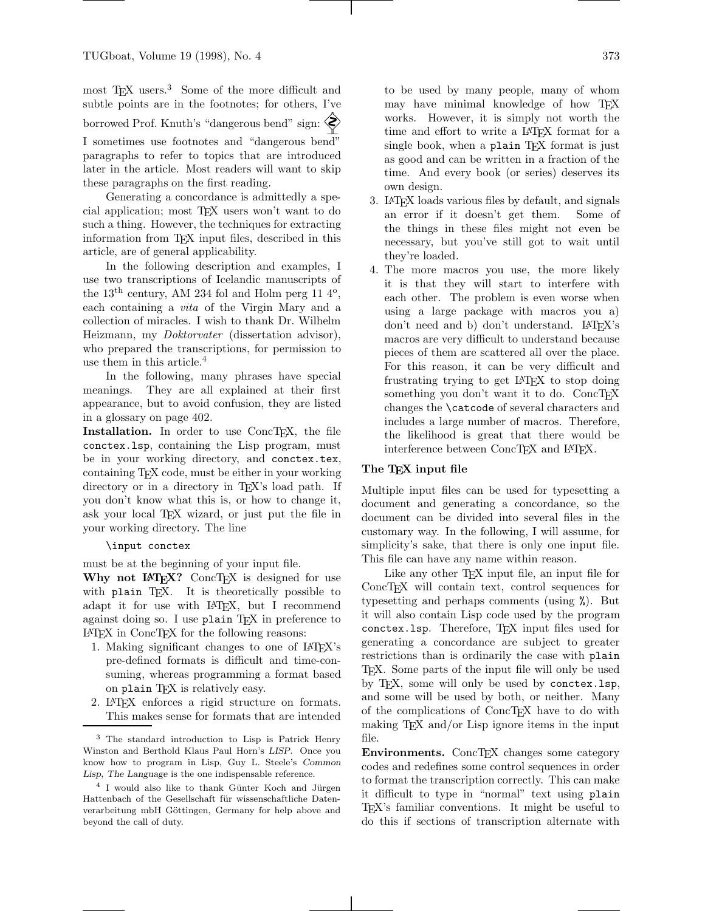most T<sub>EX</sub> users.<sup>3</sup> Some of the more difficult and subtle points are in the footnotes; for others, I've borrowed Prof. Knuth's "dangerous bend" sign: I sometimes use footnotes and "dangerous bend"

paragraphs to refer to topics that are introduced later in the article. Most readers will want to skip these paragraphs on the first reading.

Generating a concordance is admittedly a special application; most TEX users won't want to do such a thing. However, the techniques for extracting information from T<sub>E</sub>X input files, described in this article, are of general applicability.

In the following description and examples, I use two transcriptions of Icelandic manuscripts of the  $13<sup>th</sup>$  century, AM 234 fol and Holm perg 11  $4<sup>o</sup>$ , each containing a vita of the Virgin Mary and a collection of miracles. I wish to thank Dr. Wilhelm Heizmann, my Doktorvater (dissertation advisor), who prepared the transcriptions, for permission to use them in this article.<sup>4</sup>

In the following, many phrases have special meanings. They are all explained at their first appearance, but to avoid confusion, they are listed in a glossary on page 402.

Installation. In order to use ConcTEX, the file conctex.lsp, containing the Lisp program, must be in your working directory, and conctex.tex, containing TEX code, must be either in your working directory or in a directory in T<sub>E</sub>X's load path. If you don't know what this is, or how to change it, ask your local TEX wizard, or just put the file in your working directory. The line

#### \input conctex

must be at the beginning of your input file.

Why not LATEX? ConcTEX is designed for use with plain T<sub>EX</sub>. It is theoretically possible to adapt it for use with L<sup>A</sup>TEX, but I recommend against doing so. I use plain T<sub>E</sub>X in preference to L<sup>A</sup>TEX in ConcTEX for the following reasons:

- 1. Making significant changes to one of L<sup>A</sup>TEX's pre-defined formats is difficult and time-consuming, whereas programming a format based on plain T<sub>E</sub>X is relatively easy.
- 2. L<sup>A</sup>TEX enforces a rigid structure on formats. This makes sense for formats that are intended

to be used by many people, many of whom may have minimal knowledge of how TFX works. However, it is simply not worth the time and effort to write a L<sup>A</sup>TEX format for a single book, when a plain T<sub>F</sub>X format is just as good and can be written in a fraction of the time. And every book (or series) deserves its own design.

- 3. L<sup>A</sup>TEX loads various files by default, and signals an error if it doesn't get them. Some of the things in these files might not even be necessary, but you've still got to wait until they're loaded.
- 4. The more macros you use, the more likely it is that they will start to interfere with each other. The problem is even worse when using a large package with macros you a) don't need and b) don't understand. LATFX's macros are very difficult to understand because pieces of them are scattered all over the place. For this reason, it can be very difficult and frustrating trying to get L<sup>A</sup>TEX to stop doing something you don't want it to do. ConcT<sub>EX</sub> changes the \catcode of several characters and includes a large number of macros. Therefore, the likelihood is great that there would be interference between ConcTEX and L<sup>A</sup>TEX.

### The TEX input file

Multiple input files can be used for typesetting a document and generating a concordance, so the document can be divided into several files in the customary way. In the following, I will assume, for simplicity's sake, that there is only one input file. This file can have any name within reason.

Like any other TFX input file, an input file for ConcTEX will contain text, control sequences for typesetting and perhaps comments (using %). But it will also contain Lisp code used by the program conctex.lsp. Therefore, TEX input files used for generating a concordance are subject to greater restrictions than is ordinarily the case with plain TEX. Some parts of the input file will only be used by TEX, some will only be used by conctex.lsp, and some will be used by both, or neither. Many of the complications of ConcT<sub>EX</sub> have to do with making T<sub>E</sub>X and/or Lisp ignore items in the input file.

Environments. ConcTEX changes some category codes and redefines some control sequences in order to format the transcription correctly. This can make it difficult to type in "normal" text using plain TEX's familiar conventions. It might be useful to do this if sections of transcription alternate with

<sup>3</sup> The standard introduction to Lisp is Patrick Henry Winston and Berthold Klaus Paul Horn's LISP. Once you know how to program in Lisp, Guy L. Steele's Common Lisp, The Language is the one indispensable reference.

<sup>&</sup>lt;sup>4</sup> I would also like to thank Günter Koch and Jürgen Hattenbach of the Gesellschaft für wissenschaftliche Datenverarbeitung mbH Göttingen, Germany for help above and beyond the call of duty.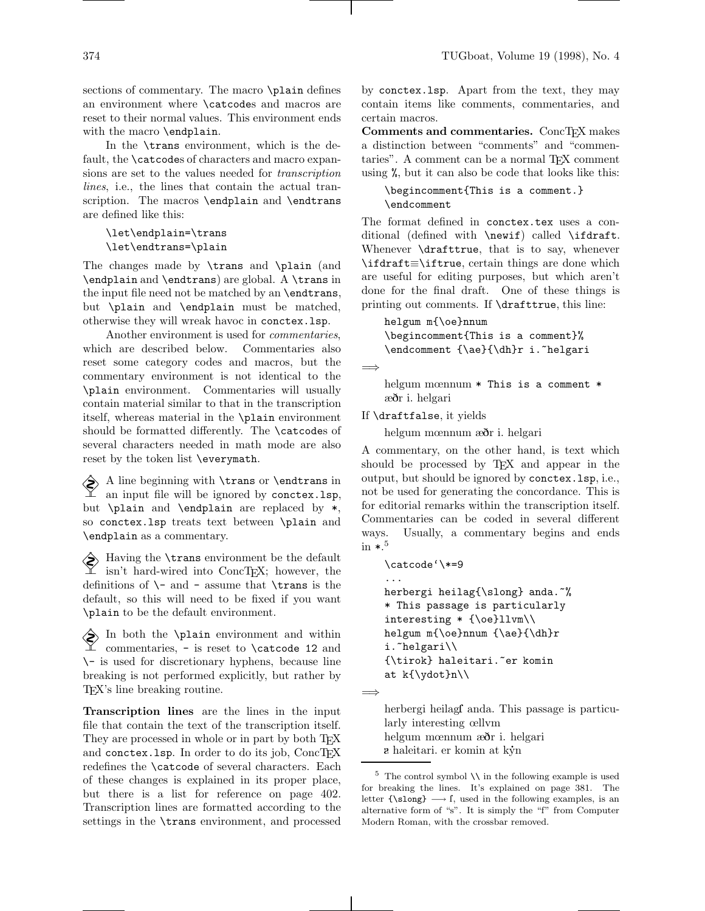sections of commentary. The macro \plain defines an environment where \catcodes and macros are reset to their normal values. This environment ends with the macro \endplain.

In the \trans environment, which is the default, the \catcodes of characters and macro expansions are set to the values needed for transcription lines, i.e., the lines that contain the actual transcription. The macros \endplain and \endtrans are defined like this:

```
\let\endplain=\trans
\let\endtrans=\plain
```
The changes made by \trans and \plain (and \endplain and \endtrans) are global. A \trans in the input file need not be matched by an \endtrans, but \plain and \endplain must be matched, otherwise they will wreak havoc in conctex.lsp.

Another environment is used for commentaries, which are described below. Commentaries also reset some category codes and macros, but the commentary environment is not identical to the \plain environment. Commentaries will usually contain material similar to that in the transcription itself, whereas material in the \plain environment should be formatted differently. The \catcodes of several characters needed in math mode are also reset by the token list \everymath.

 $\diamondsuit$  A line beginning with \trans or \endtrans in an input file will be ignored by conctex.lsp, but \plain and \endplain are replaced by \*, so conctex.lsp treats text between \plain and \endplain as a commentary.

 $\diamondsuit$  Having the **\trans** environment be the default isn't hard-wired into ConcTEX; however, the definitions of  $\$ - and - assume that  $\trans$  is the default, so this will need to be fixed if you want \plain to be the default environment.

 $\diamondsuit$  In both the \plain environment and within commentaries, - is reset to \catcode 12 and  $\backslash\text{-}$  is used for discretionary hyphens, because line breaking is not performed explicitly, but rather by TEX's line breaking routine.

Transcription lines are the lines in the input file that contain the text of the transcription itself. They are processed in whole or in part by both TEX and conctex. 1sp. In order to do its job, ConcTEX redefines the \catcode of several characters. Each of these changes is explained in its proper place, but there is a list for reference on page 402. Transcription lines are formatted according to the settings in the \trans environment, and processed

by conctex.lsp. Apart from the text, they may contain items like comments, commentaries, and certain macros.

Comments and commentaries. ConcTEX makes a distinction between "comments" and "commentaries". A comment can be a normal TEX comment using %, but it can also be code that looks like this:

```
\begincomment{This is a comment.}
\endcomment
```
The format defined in conctex.tex uses a conditional (defined with \newif) called \ifdraft. Whenever \drafttrue, that is to say, whenever \ifdraft≡\iftrue, certain things are done which are useful for editing purposes, but which aren't done for the final draft. One of these things is printing out comments. If \drafttrue, this line:

helgum m{\oe}nnum \begincomment{This is a comment}% \endcomment {\ae}{\dh}r i. "helgari

```
=⇒
```
helgum mœnnum \* This is a comment \* æðr i. helgari

If \draftfalse, it yields

helgum mœnnum æðr i. helgari

A commentary, on the other hand, is text which should be processed by TEX and appear in the output, but should be ignored by conctex.lsp, i.e., not be used for generating the concordance. This is for editorial remarks within the transcription itself. Commentaries can be coded in several different ways. Usually, a commentary begins and ends in  $\ast$ .<sup>5</sup>

```
\catcode'\*=9
...
```

```
herbergi heilag{\slong} anda.~%
* This passage is particularly
interesting * {\oe}llvm\\
helgum m{\oe}nnum {\ae}{\dh}r
i.~helgari\\
{\tirok} haleitari.~er komin
at k{\ydot}n\\
```
=⇒

herbergi heilag fanda. This passage is particularly interesting œllvm helgum mœnnum æðr i. helgari  $\mathbf r$  haleitari. er komin at kýn

 $^5\,$  The control symbol  $\backslash\backslash$  in the following example is used for breaking the lines. It's explained on page 381. The letter  ${\simeq} \rightarrow f$ , used in the following examples, is an alternative form of "s". It is simply the "f" from Computer Modern Roman, with the crossbar removed.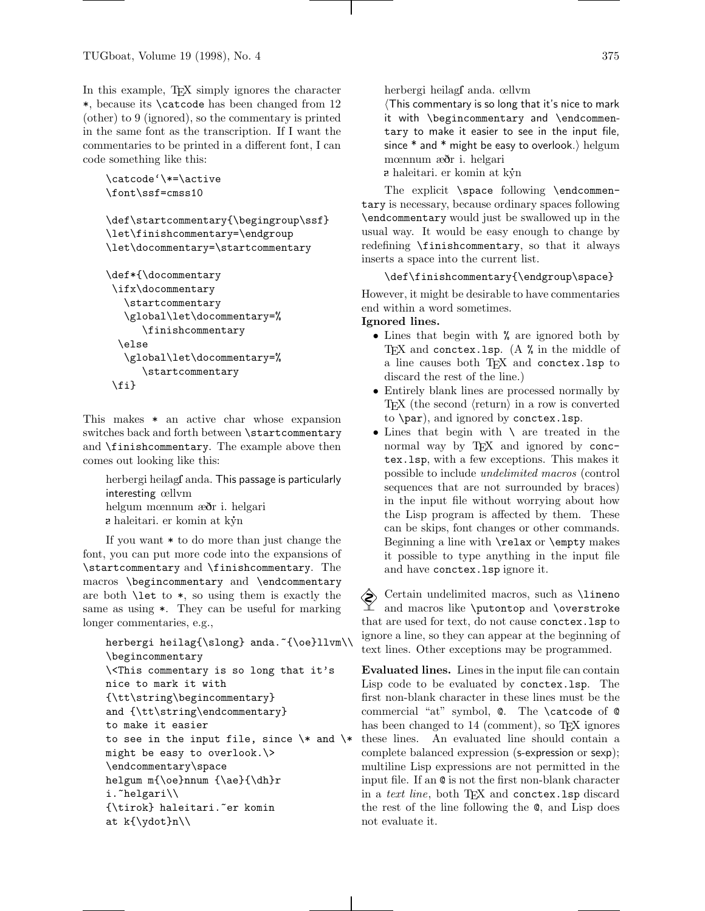In this example, TEX simply ignores the character \*, because its \catcode has been changed from 12 (other) to 9 (ignored), so the commentary is printed in the same font as the transcription. If I want the commentaries to be printed in a different font, I can code something like this:

```
\catcode'\*=\active
\font\ssf=cmss10
```

```
\def\startcommentary{\begingroup\ssf}
\let\finishcommentary=\endgroup
\let\docommentary=\startcommentary
```

```
\def*{\docommentary
\ifx\docommentary
   \startcommentary
   \global\let\docommentary=%
      \finishcommentary
  \else
   \global\let\docommentary=%
      \startcommentary
 \fi}
```
This makes \* an active char whose expansion switches back and forth between \startcommentary and \finishcommentary. The example above then comes out looking like this:

herbergi heilag anda. This passage is particularly interesting œllvm helgum mœnnum æðr i. helgari  $a$  haleitari. er komin at kýn

If you want \* to do more than just change the font, you can put more code into the expansions of \startcommentary and \finishcommentary. The macros \begincommentary and \endcommentary are both \let to \*, so using them is exactly the same as using \*. They can be useful for marking longer commentaries, e.g.,

```
herbergi heilag{\slong} anda.~{\oe}llvm\\
\begincommentary
\<This commentary is so long that it's
nice to mark it with
{\tt\string\begincommentary}
and {\tt\string\endcommentary}
to make it easier
to see in the input file, since \* and \*
might be easy to overlook.\>
\endcommentary\space
helgum m{\oe}nnum {\ae}{\dh}r
i.~helgari\\
{\tirok} haleitari.~er komin
at k{\ydot}n\\
```
herbergi heilagf anda. œllvm

 $\overline{\text{This commentary}}$  is so long that it's nice to mark it with \begincommentary and \endcommentary to make it easier to see in the input file, since  $*$  and  $*$  might be easy to overlook.) helgum mœnnum æðr i. helgari

 $\alpha$  haleitari. er komin at kýn

The explicit \space following \endcommentary is necessary, because ordinary spaces following \endcommentary would just be swallowed up in the usual way. It would be easy enough to change by redefining \finishcommentary, so that it always inserts a space into the current list.

\def\finishcommentary{\endgroup\space}

However, it might be desirable to have commentaries end within a word sometimes.

# Ignored lines.

- Lines that begin with % are ignored both by TFX and conctex. Isp.  $(A \mathcal{K})$  in the middle of a line causes both TEX and conctex.lsp to discard the rest of the line.)
- Entirely blank lines are processed normally by TEX (the second  $\langle$  return $\rangle$  in a row is converted to \par), and ignored by conctex.lsp.
- Lines that begin with \ are treated in the normal way by T<sub>EX</sub> and ignored by conctex.lsp, with a few exceptions. This makes it possible to include undelimited macros (control sequences that are not surrounded by braces) in the input file without worrying about how the Lisp program is affected by them. These can be skips, font changes or other commands. Beginning a line with \relax or \empty makes it possible to type anything in the input file and have conctex.lsp ignore it.

 Certain undelimited macros, such as \lineno  $\angle$  and macros like \putontop and \overstroke that are used for text, do not cause conctex.lsp to ignore a line, so they can appear at the beginning of text lines. Other exceptions may be programmed.

Evaluated lines. Lines in the input file can contain Lisp code to be evaluated by conctex.lsp. The first non-blank character in these lines must be the commercial "at" symbol, @. The \catcode of @ has been changed to 14 (comment), so TFX ignores these lines. An evaluated line should contain a complete balanced expression (s-expression or sexp); multiline Lisp expressions are not permitted in the input file. If an @ is not the first non-blank character in a text line, both TFX and conctex. Isp discard the rest of the line following the @, and Lisp does not evaluate it.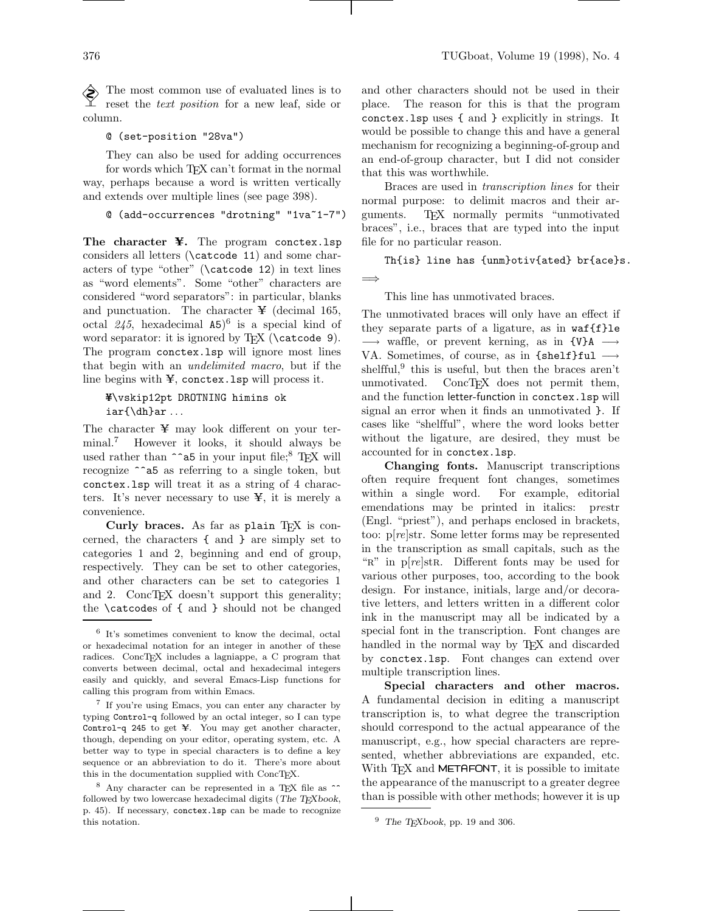The most common use of evaluated lines is to reset the text position for a new leaf, side or column.

@ (set-position "28va")

They can also be used for adding occurrences for words which TEX can't format in the normal way, perhaps because a word is written vertically and extends over multiple lines (see page 398).

@ (add-occurrences "drotning" "1va~1-7")

The character ¥. The program conctex.lsp considers all letters (\catcode 11) and some characters of type "other" (\catcode 12) in text lines as "word elements". Some "other" characters are considered "word separators": in particular, blanks and punctuation. The character  $\angle$  (decimal 165, octal 245, hexadecimal A5) 6 is a special kind of word separator: it is ignored by TEX (\catcode 9). The program conctex.lsp will ignore most lines that begin with an undelimited macro, but if the line begins with ¥, conctex.lsp will process it.

# ¥\vskip12pt DROTNING himins ok iar{\dh}ar ...

The character ¥ may look different on your terminal.<sup>7</sup> However it looks, it should always be used rather than  $\hat{\ }$ a5 in your input file;<sup>8</sup> T<sub>EX</sub> will recognize ^^a5 as referring to a single token, but conctex.lsp will treat it as a string of 4 characters. It's never necessary to use  $\ddot{x}$ , it is merely a convenience.

Curly braces. As far as plain TEX is concerned, the characters { and } are simply set to categories 1 and 2, beginning and end of group, respectively. They can be set to other categories, and other characters can be set to categories 1 and 2. ConcT<sub>F</sub>X doesn't support this generality; the \catcodes of { and } should not be changed and other characters should not be used in their place. The reason for this is that the program conctex.lsp uses { and } explicitly in strings. It would be possible to change this and have a general mechanism for recognizing a beginning-of-group and an end-of-group character, but I did not consider that this was worthwhile.

Braces are used in transcription lines for their normal purpose: to delimit macros and their arguments. TEX normally permits "unmotivated braces", i.e., braces that are typed into the input file for no particular reason.

Th{is} line has {unm}otiv{ated} br{ace}s.

=⇒

This line has unmotivated braces.

The unmotivated braces will only have an effect if they separate parts of a ligature, as in waf{f}le  $\longrightarrow$  waffle, or prevent kerning, as in  $\{V\}A \longrightarrow$ VA. Sometimes, of course, as in  ${shelf}ful \longrightarrow$ shelfful,<sup>9</sup> this is useful, but then the braces aren't unmotivated. ConcTEX does not permit them, and the function letter-function in conctex.lsp will signal an error when it finds an unmotivated }. If cases like "shelfful", where the word looks better without the ligature, are desired, they must be accounted for in conctex.lsp.

Changing fonts. Manuscript transcriptions often require frequent font changes, sometimes within a single word. For example, editorial emendations may be printed in italics: prestr (Engl. "priest"), and perhaps enclosed in brackets, too: p[re]str. Some letter forms may be represented in the transcription as small capitals, such as the " $R$ " in p $[re]$ str. Different fonts may be used for various other purposes, too, according to the book design. For instance, initials, large and/or decorative letters, and letters written in a different color ink in the manuscript may all be indicated by a special font in the transcription. Font changes are handled in the normal way by TEX and discarded by conctex.lsp. Font changes can extend over multiple transcription lines.

Special characters and other macros. A fundamental decision in editing a manuscript transcription is, to what degree the transcription should correspond to the actual appearance of the manuscript, e.g., how special characters are represented, whether abbreviations are expanded, etc. With T<sub>F</sub>X and METAFONT, it is possible to imitate the appearance of the manuscript to a greater degree than is possible with other methods; however it is up

<sup>6</sup> It's sometimes convenient to know the decimal, octal or hexadecimal notation for an integer in another of these radices. ConcTEX includes a lagniappe, a C program that converts between decimal, octal and hexadecimal integers easily and quickly, and several Emacs-Lisp functions for calling this program from within Emacs.

<sup>7</sup> If you're using Emacs, you can enter any character by typing Control-q followed by an octal integer, so I can type Control-q 245 to get ¥. You may get another character, though, depending on your editor, operating system, etc. A better way to type in special characters is to define a key sequence or an abbreviation to do it. There's more about this in the documentation supplied with ConcTEX.

 $8$  Any character can be represented in a TEX file as  $\hat{ }$ followed by two lowercase hexadecimal digits (The TEXbook, p. 45). If necessary, conctex.lsp can be made to recognize this notation.

 $^9\,$  The TEXbook, pp. 19 and 306.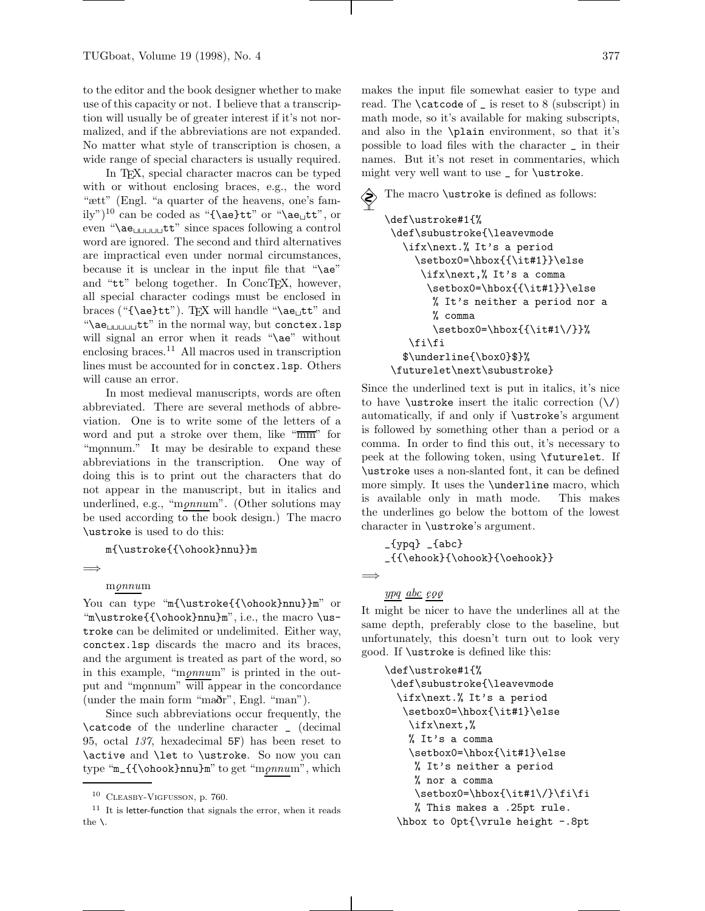to the editor and the book designer whether to make use of this capacity or not. I believe that a transcription will usually be of greater interest if it's not normalized, and if the abbreviations are not expanded. No matter what style of transcription is chosen, a wide range of special characters is usually required.

In TEX, special character macros can be typed with or without enclosing braces, e.g., the word "ætt" (Engl. "a quarter of the heavens, one's family")<sup>10</sup> can be coded as "{\ae}tt" or "\ae<sub> $\sqcup$ </sub>tt", or even " $\langle \text{ae}_{\text{full}} \text{tt}^n \rangle$  since spaces following a control word are ignored. The second and third alternatives are impractical even under normal circumstances, because it is unclear in the input file that "\ae" and "tt" belong together. In ConcTEX, however, all special character codings must be enclosed in braces ("{\ae}tt"). TFX will handle "\ae $_t$ tt" and " $\langle ae_{\text{full}}\right|$ tt" in the normal way, but conctex.lsp will signal an error when it reads "\ae" without enclosing braces.<sup>11</sup> All macros used in transcription lines must be accounted for in conctex.lsp. Others will cause an error.

In most medieval manuscripts, words are often abbreviated. There are several methods of abbreviation. One is to write some of the letters of a word and put a stroke over them, like "mm" for "monum." It may be desirable to expand these abbreviations in the transcription. One way of doing this is to print out the characters that do not appear in the manuscript, but in italics and underlined, e.g., "m $\varrho nnum$ ". (Other solutions may be used according to the book design.) The macro \ustroke is used to do this:

m{\ustroke{{\ohook}nnu}}m

```
=⇒
```
## $m\rho nnum$

You can type "m{\ustroke{{\ohook}nnu}}m" or "m\ustroke{{\ohook}nnu}m", i.e., the macro \ustroke can be delimited or undelimited. Either way, conctex.lsp discards the macro and its braces, and the argument is treated as part of the word, so in this example, "monum" is printed in the output and "monnum" will appear in the concordance (under the main form "maðr", Engl. "man").

Since such abbreviations occur frequently, the \catcode of the underline character \_ (decimal 95, octal 137, hexadecimal 5F) has been reset to \active and \let to \ustroke. So now you can type " $m_{\{\{\hbox{book}}\}m$ " to get "m $\rho nnum$ ", which makes the input file somewhat easier to type and read. The \catcode of \_ is reset to 8 (subscript) in math mode, so it's available for making subscripts, and also in the \plain environment, so that it's possible to load files with the character \_ in their names. But it's not reset in commentaries, which might very well want to use \_ for \ustroke.

```
 The macro \ustroke is defined as follows:
    \def\ustroke#1{%
    \def\subustroke{\leavevmode
       \ifx\next.% It's a period
         \setbox0=\hbox{{\it#1}}\else
          \ifx\next,% It's a comma
           \setbox0=\hbox{{\it#1}}\else
            % It's neither a period nor a
            % comma
            \setbox0=\hbox{{\it#1\/}}%
        \fi\fi
       $\underline{\box0}$}%
    \futurelet\next\subustroke}
```
Since the underlined text is put in italics, it's nice to have **\ustroke** insert the italic correction  $(\n)$ automatically, if and only if \ustroke's argument is followed by something other than a period or a comma. In order to find this out, it's necessary to peek at the following token, using \futurelet. If \ustroke uses a non-slanted font, it can be defined more simply. It uses the \underline macro, which is available only in math mode. This makes the underlines go below the bottom of the lowest character in \ustroke's argument.

\_{ypq} \_{abc} \_{{\ehook}{\ohook}{\oehook}}

=⇒

### $ypq \underline{abc} \varrho q\varrho$

It might be nicer to have the underlines all at the same depth, preferably close to the baseline, but unfortunately, this doesn't turn out to look very good. If \ustroke is defined like this:

```
\def\ustroke#1{%
 \def\subustroke{\leavevmode
  \ifx\next.% It's a period
   \setbox0=\hbox{\it#1}\else
   \ifx\next,%
   % It's a comma
    \setbox0=\hbox{\it#1}\else
    % It's neither a period
    % nor a comma
    \setbox0=\hbox{\it#1\/}\fi\fi
    % This makes a .25pt rule.
  \hbox to 0pt{\vrule height -.8pt
```
<sup>10</sup> Cleasby-Vigfusson, p. 760.

 $11$  It is letter-function that signals the error, when it reads the \.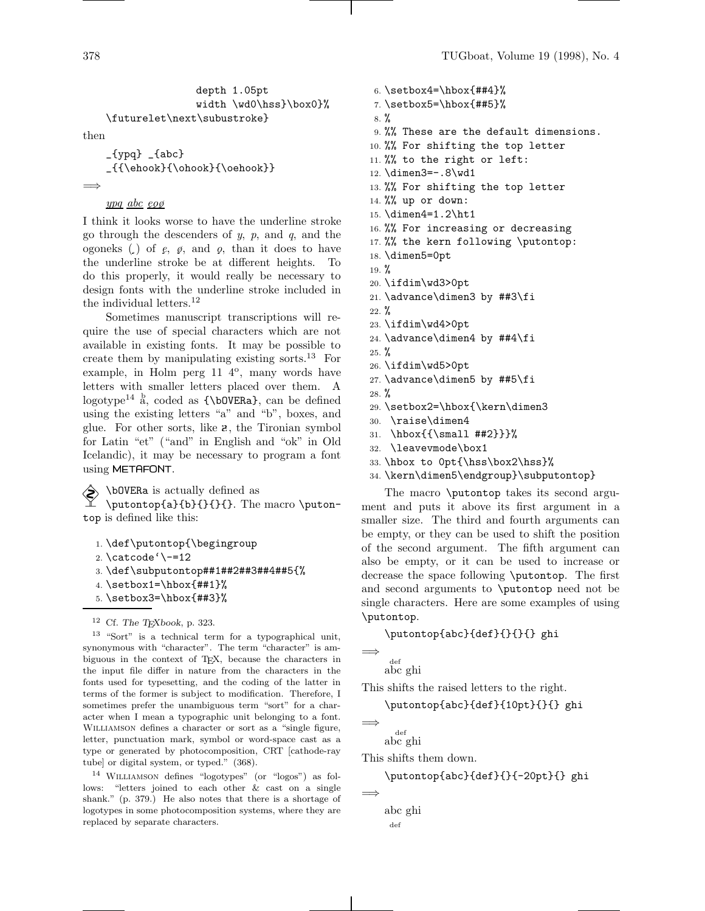```
depth 1.05pt
               width \wd0\hss}\box0}%
\futurelet\next\subustroke}
```
then

```
_{[ypq} _{ [abc}
_{{\ehook}{\ohook}{\oehook}}
```
=⇒

# ypq abc eog

I think it looks worse to have the underline stroke go through the descenders of  $y$ ,  $p$ , and  $q$ , and the ogoneks  $\left( \cdot \right)$  of  $e, \varnothing$ , and  $\varnothing$ , than it does to have the underline stroke be at different heights. To do this properly, it would really be necessary to design fonts with the underline stroke included in the individual letters. $^{12}$ 

Sometimes manuscript transcriptions will require the use of special characters which are not available in existing fonts. It may be possible to create them by manipulating existing sorts.<sup>13</sup> For example, in Holm perg  $11<sup>4</sup>$ , many words have letters with smaller letters placed over them. A  $logotype^{14}$  a, coded as  ${\b{b0VERa}}$ , can be defined using the existing letters "a" and "b", boxes, and glue. For other sorts, like  $\mathbf{\hat{z}}$ , the Tironian symbol for Latin "et" ("and" in English and "ok" in Old Icelandic), it may be necessary to program a font using METAFONT.

 \bOVERa is actually defined as \putontop{a}{b}{}{}{}. The macro \putontop is defined like this:

1. \def\putontop{\begingroup 2. \catcode'\-=12 3. \def\subputontop##1##2##3##4##5{% 4.  $\setminus$ setbox1= $\hbox{hbox{#1}}$ % 5. \setbox3=\hbox{##3}%

 $12$  Cf. The TFXbook, p. 323.

<sup>13</sup> "Sort" is a technical term for a typographical unit, synonymous with "character". The term "character" is ambiguous in the context of TEX, because the characters in the input file differ in nature from the characters in the fonts used for typesetting, and the coding of the latter in terms of the former is subject to modification. Therefore, I sometimes prefer the unambiguous term "sort" for a character when I mean a typographic unit belonging to a font. Williamson defines a character or sort as a "single figure, letter, punctuation mark, symbol or word-space cast as a type or generated by photocomposition, CRT [cathode-ray tube] or digital system, or typed." (368).

<sup>14</sup> Williamson defines "logotypes" (or "logos") as follows: "letters joined to each other & cast on a single shank." (p. 379.) He also notes that there is a shortage of logotypes in some photocomposition systems, where they are replaced by separate characters.

6. \setbox4=\hbox{##4}% 7. \setbox5=\hbox{##5}% 8. % 9. %% These are the default dimensions. 10. %% For shifting the top letter 11. %% to the right or left: 12. \dimen3=-.8\wd1 13. %% For shifting the top letter 14. %% up or down: 15. \dimen4=1.2\ht1 16. %% For increasing or decreasing 17. %% the kern following \putontop: 18. \dimen5=0pt  $19. \%$ 20. \ifdim\wd3>0pt 21. \advance\dimen3 by ##3\fi  $22. \%$ 23. \ifdim\wd4>0pt 24. \advance\dimen4 by ##4\fi 25. % 26. \ifdim\wd5>0pt 27. \advance\dimen5 by ##5\fi  $28. \%$ 29. \setbox2=\hbox{\kern\dimen3 30. \raise\dimen4

- 31. \hbox ${\{\mathrm{mall } \#42\}}\%$
- 32. \leavevmode\box1
- 33. \hbox to 0pt{\hss\box2\hss}%
- 34. \kern\dimen5\endgroup}\subputontop}

The macro \putontop takes its second argument and puts it above its first argument in a smaller size. The third and fourth arguments can be empty, or they can be used to shift the position of the second argument. The fifth argument can also be empty, or it can be used to increase or decrease the space following \putontop. The first and second arguments to \putontop need not be single characters. Here are some examples of using \putontop.

## \putontop{abc}{def}{}{}{} ghi

```
=⇒
```
abc ghi def

This shifts the raised letters to the right.

\putontop{abc}{def}{10pt}{}{} ghi

```
=⇒
```
=⇒

abc ghi def

This shifts them down.

```
\putontop{abc}{def}{}{-20pt}{} ghi
```
abc ghidef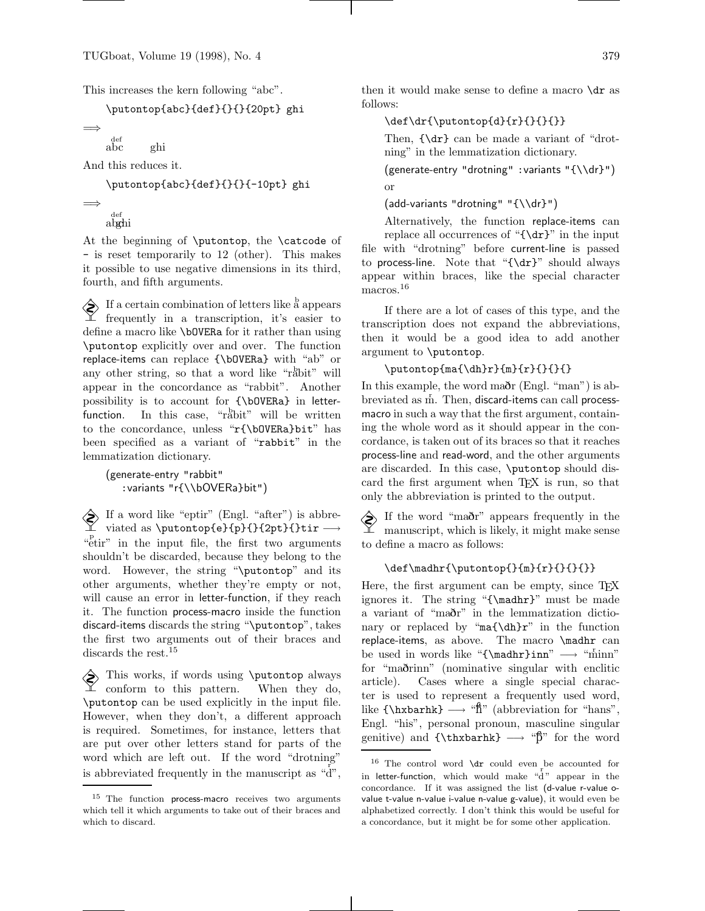This increases the kern following "abc".

\putontop{abc}{def}{}{}{20pt} ghi

```
=⇒
     abc
      def
```
And this reduces it.

ghi

\putontop{abc}{def}{}{}{-10pt} ghi

```
=⇒
```
<sub>def</sub><br>ab**g**hi

At the beginning of \putontop, the \catcode of - is reset temporarily to 12 (other). This makes it possible to use negative dimensions in its third, fourth, and fifth arguments.

 $\diamondsuit$  If a certain combination of letters like a appears  $\mathcal{I}$  frequently in a transcription, it's easier to define a macro like \bOVERa for it rather than using \putontop explicitly over and over. The function replace-items can replace {\bOVERa} with "ab" or any other string, so that a word like "rabit" will appear in the concordance as "rabbit". Another possibility is to account for {\bOVERa} in letterfunction. In this case, "rabit" will be written to the concordance, unless "r{\bOVERa}bit" has been specified as a variant of "rabbit" in the lemmatization dictionary.

(generate-entry "rabbit" :variants "r{\\bOVERa}bit")

 $\diamondsuit$  If a word like "eptir" (Engl. "after") is abbreviated as \putontop{e}{p}{}{2pt}{}tir −→ "etir" in the input file, the first two arguments shouldn't be discarded, because they belong to the word. However, the string "\putontop" and its other arguments, whether they're empty or not, will cause an error in letter-function, if they reach it. The function process-macro inside the function discard-items discards the string "\putontop", takes the first two arguments out of their braces and discards the rest.<sup>15</sup>

 This works, if words using \putontop always conform to this pattern. When they do, \putontop can be used explicitly in the input file. However, when they don't, a different approach is required. Sometimes, for instance, letters that are put over other letters stand for parts of the word which are left out. If the word "drotning" is abbreviated frequently in the manuscript as  $\mathbf{a} \cdot \mathbf{b}$ ,

then it would make sense to define a macro  $\dagger$  as follows:

# $\def\{r}{putiontop{d}{r}{}{}{}{}{}{}{}{}{}{}{}{}{}{}{}$

Then, {\dr} can be made a variant of "drotning" in the lemmatization dictionary.

(generate-entry "drotning" :variants "{\\dr}") or

(add-variants "drotning" "{\\dr}")

Alternatively, the function replace-items can replace all occurrences of " ${\dagger}$ " in the input file with "drotning" before current-line is passed to process-line. Note that "{\dr}" should always appear within braces, like the special character macros.<sup>16</sup>

If there are a lot of cases of this type, and the transcription does not expand the abbreviations, then it would be a good idea to add another argument to \putontop.

```
\putontop{ma}{dh}r}{m}{r}{f}{}
```
In this example, the word maðr (Engl. "man") is abbreviated as m<sup>r</sup>. Then, discard-items can call processmacro in such a way that the first argument, containing the whole word as it should appear in the concordance, is taken out of its braces so that it reaches process-line and read-word, and the other arguments are discarded. In this case, \putontop should discard the first argument when T<sub>EX</sub> is run, so that only the abbreviation is printed to the output.

 If the word "maðr" appears frequently in the  $\mathbb{X}$  manuscript, which is likely, it might make sense to define a macro as follows:

## $\def\mathcal{p}u\to\f_{m}{r}{f}{}$

Here, the first argument can be empty, since T<sub>E</sub>X ignores it. The string "{\madhr}" must be made a variant of "maðr" in the lemmatization dictionary or replaced by "ma{\dh}r" in the function replace-items, as above. The macro \madhr can be used in words like "{\madhr}inn" → "minn" for "maðrinn" (nominative singular with enclitic article). Cases where a single special character is used to represent a frequently used word, like  ${\hbox{\texttt{b}} \longrightarrow {\hbox{\texttt{f}}''}$  (abbreviation for "hans", Engl. "his", personal pronoun, masculine singular genitive) and  $\{\tanh k\} \rightarrow "B"$  for the word

<sup>&</sup>lt;sup>15</sup> The function process-macro receives two arguments which tell it which arguments to take out of their braces and which to discard.

<sup>&</sup>lt;sup>16</sup> The control word  $\dagger$  could even be accounted for in letter-function, which would make "d " appear in the concordance. If it was assigned the list (d-value r-value ovalue t-value n-value i-value n-value g-value), it would even be alphabetized correctly. I don't think this would be useful for a concordance, but it might be for some other application.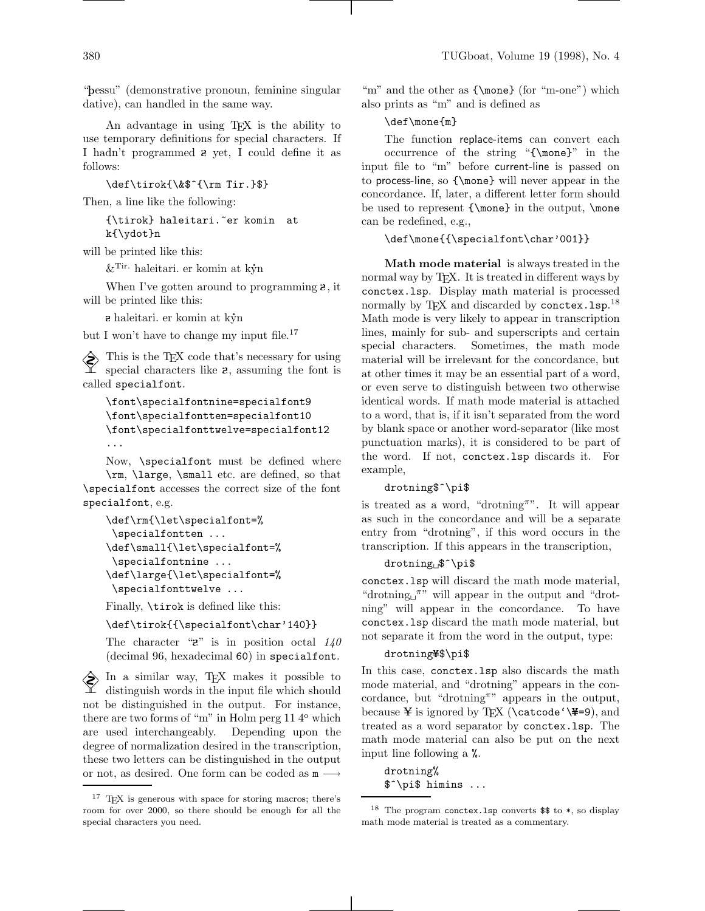"þessu" (demonstrative pronoun, feminine singular dative), can handled in the same way.

An advantage in using TEX is the ability to use temporary definitions for special characters. If I hadn't programmed  $\boldsymbol{z}$  yet, I could define it as follows:

\def\tirok{\&\$^{\rm Tir.}\$}

Then, a line like the following:

{\tirok} haleitari.~er komin at k{\ydot}n

will be printed like this:

specialfont, e.g.

 $\&$ <sup>Tir.</sup> haleitari. er komin at kýn

When I've gotten around to programming  $\mathbf{z}$ , it will be printed like this:

 $a$  haleitari. er komin at k $\dot{y}$ n

but I won't have to change my input file.<sup>17</sup>

This is the TEX code that's necessary for using<br> $\sum$  special characters like  $\Gamma$ special characters like  $\mathbf{z}$ , assuming the font is called specialfont.

```
\font\specialfontnine=specialfont9
\font\specialfontten=specialfont10
\font\specialfonttwelve=specialfont12
...
```
Now, \specialfont must be defined where \rm, \large, \small etc. are defined, so that \specialfont accesses the correct size of the font

```
\def\rm{\let\specialfont=%
\specialfontten ...
\def\small{\let\specialfont=%
 \specialfontnine ...
\def\large{\let\specialfont=%
 \specialfonttwelve ...
```
Finally, \tirok is defined like this:

\def\tirok{{\specialfont\char'140}}

The character " $\mathbf{z}$ " is in position octal  $140$ (decimal 96, hexadecimal 60) in specialfont.

 In a similar way, TEX makes it possible to distinguish words in the input file which should not be distinguished in the output. For instance, there are two forms of "m" in Holm perg  $11\,4^{\circ}$  which are used interchangeably. Depending upon the degree of normalization desired in the transcription, these two letters can be distinguished in the output or not, as desired. One form can be coded as  $m \longrightarrow$ 

"m" and the other as  ${\omega} (for "m-one") which$ also prints as "m" and is defined as

# \def\mone{m}

The function replace-items can convert each occurrence of the string "{\mone}" in the input file to "m" before current-line is passed on to process-line, so {\mone} will never appear in the concordance. If, later, a different letter form should be used to represent {\mone} in the output, \mone can be redefined, e.g.,

## \def\mone{{\specialfont\char'001}}

Math mode material is always treated in the normal way by TEX. It is treated in different ways by conctex.lsp. Display math material is processed normally by TEX and discarded by conctex. 1sp.<sup>18</sup> Math mode is very likely to appear in transcription lines, mainly for sub- and superscripts and certain special characters. Sometimes, the math mode material will be irrelevant for the concordance, but at other times it may be an essential part of a word, or even serve to distinguish between two otherwise identical words. If math mode material is attached to a word, that is, if it isn't separated from the word by blank space or another word-separator (like most punctuation marks), it is considered to be part of the word. If not, conctex.lsp discards it. For example,

#### drotning\$^\pi\$

is treated as a word, "drotning". It will appear as such in the concordance and will be a separate entry from "drotning", if this word occurs in the transcription. If this appears in the transcription,

### drotning \$^\pi\$

conctex.lsp will discard the math mode material, "drotning  $\pi$ " will appear in the output and "drotning" will appear in the concordance. To have conctex.lsp discard the math mode material, but not separate it from the word in the output, type:

#### drotning¥\$\pi\$

In this case, conctex.lsp also discards the math mode material, and "drotning" appears in the concordance, but "drotning"" appears in the output, because ¥ is ignored by T<sub>E</sub>X (\catcode '\\#=9), and treated as a word separator by conctex.lsp. The math mode material can also be put on the next input line following a %.

drotning% \$^\pi\$ himins ...

<sup>17</sup> TEX is generous with space for storing macros; there's room for over 2000, so there should be enough for all the special characters you need.

<sup>&</sup>lt;sup>18</sup> The program conctex. Isp converts  $\$  to  $*$ , so display math mode material is treated as a commentary.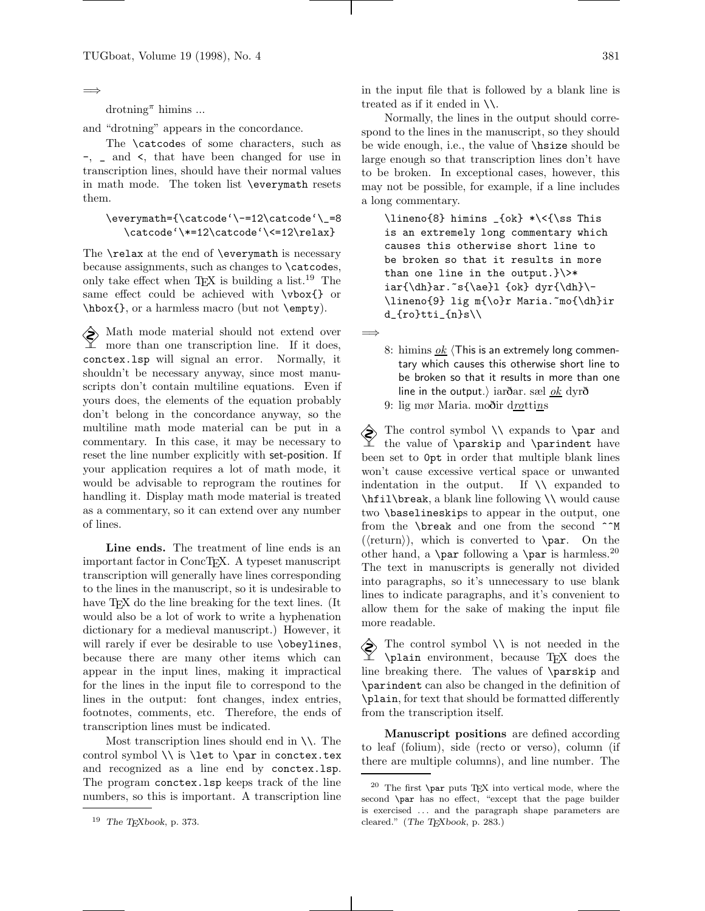=⇒

 $\mathrm{d}$ rotning<sup> $\pi$ </sup> himins ...

and "drotning" appears in the concordance.

The \catcodes of some characters, such as  $-$ ,  $\Box$  and  $\angle$ , that have been changed for use in transcription lines, should have their normal values in math mode. The token list \everymath resets them.

\everymath={\catcode'\-=12\catcode'\\_=8 \catcode'\\*=12\catcode'\<=12\relax}

The **\relax** at the end of **\everymath** is necessary because assignments, such as changes to \catcodes, only take effect when  $T_F X$  is building a list.<sup>19</sup> The same effect could be achieved with  $\forall x \in \mathbb{}$  or \hbox{}, or a harmless macro (but not \empty).

A Math mode material should not extend over more than one transcription line. If it does, conctex.lsp will signal an error. Normally, it shouldn't be necessary anyway, since most manuscripts don't contain multiline equations. Even if yours does, the elements of the equation probably don't belong in the concordance anyway, so the multiline math mode material can be put in a commentary. In this case, it may be necessary to reset the line number explicitly with set-position. If your application requires a lot of math mode, it would be advisable to reprogram the routines for handling it. Display math mode material is treated as a commentary, so it can extend over any number of lines.

Line ends. The treatment of line ends is an important factor in ConcTEX. A typeset manuscript transcription will generally have lines corresponding to the lines in the manuscript, so it is undesirable to have T<sub>F</sub>X do the line breaking for the text lines. (It would also be a lot of work to write a hyphenation dictionary for a medieval manuscript.) However, it will rarely if ever be desirable to use **\obeylines**, because there are many other items which can appear in the input lines, making it impractical for the lines in the input file to correspond to the lines in the output: font changes, index entries, footnotes, comments, etc. Therefore, the ends of transcription lines must be indicated.

Most transcription lines should end in \\. The control symbol  $\setminus$  is  $\let$  to  $\parrow$  in conctex.tex and recognized as a line end by conctex.lsp. The program conctex.lsp keeps track of the line numbers, so this is important. A transcription line

in the input file that is followed by a blank line is treated as if it ended in \\.

Normally, the lines in the output should correspond to the lines in the manuscript, so they should be wide enough, i.e., the value of \hsize should be large enough so that transcription lines don't have to be broken. In exceptional cases, however, this may not be possible, for example, if a line includes a long commentary.

 $\line{8}$  himins  $_{\ok} * \langle \$ ss This is an extremely long commentary which causes this otherwise short line to be broken so that it results in more than one line in the output.} $\$  $iar{\dh}ar.^s{\ae}l$  {ok} dyr{\dh}\-\lineno{9} lig m{\o}r Maria.~mo{\dh}ir d\_{ro}tti\_{n}s\\

=⇒

8: himins  $\overline{ok}$  (This is an extremely long commentary which causes this otherwise short line to be broken so that it results in more than one line in the output.) iarðar. sæl <u>ok</u> dyrð

9: lig mør Maria. moðir drottins

 $\diamondsuit$  The control symbol  $\setminus$  expands to  $\gamma$  and the value of \parskip and \parindent have been set to 0pt in order that multiple blank lines won't cause excessive vertical space or unwanted indentation in the output. If  $\setminus \setminus$  expanded to \hfil\break, a blank line following \\ would cause two \baselineskips to appear in the output, one from the \break and one from the second ^^M  $(\langle return \rangle)$ , which is converted to  $\parrow$  On the other hand, a \par following a \par is harmless.<sup>20</sup> The text in manuscripts is generally not divided into paragraphs, so it's unnecessary to use blank lines to indicate paragraphs, and it's convenient to allow them for the sake of making the input file more readable.

 $\Diamond$  The control symbol  $\setminus \setminus$  is not needed in the \plain environment, because TEX does the line breaking there. The values of \parskip and \parindent can also be changed in the definition of \plain, for text that should be formatted differently from the transcription itself.

Manuscript positions are defined according to leaf (folium), side (recto or verso), column (if there are multiple columns), and line number. The

 $^{19}\,$  The TEXbook, p. 373.

 $20$  The first \par puts TEX into vertical mode, where the second \par has no effect, "except that the page builder is exercised ... and the paragraph shape parameters are cleared." (The TEXbook, p. 283.)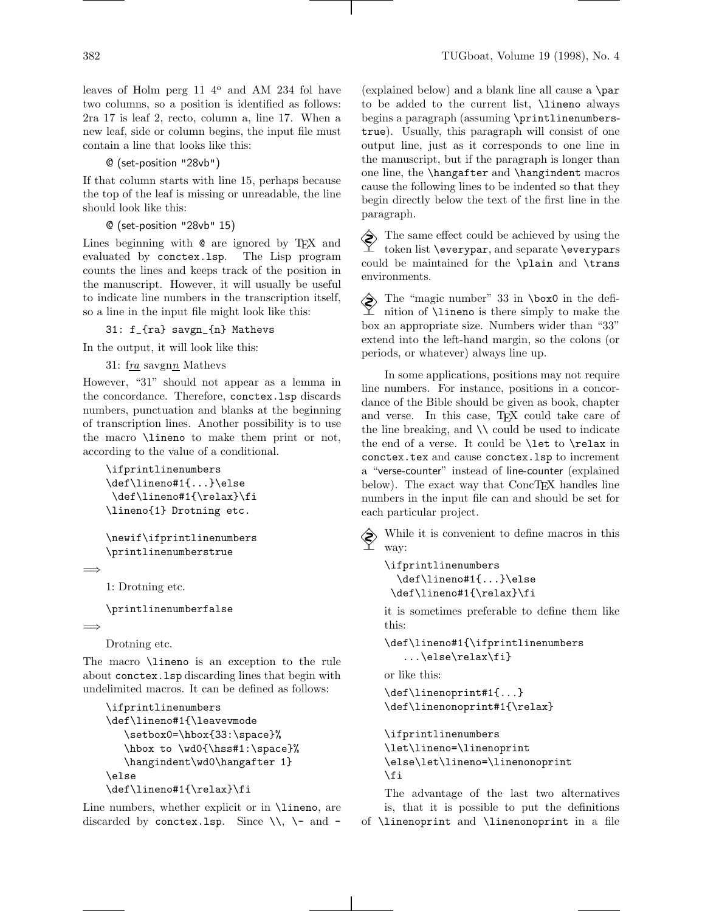two columns, so a position is identified as follows: 2ra 17 is leaf 2, recto, column a, line 17. When a new leaf, side or column begins, the input file must contain a line that looks like this:

@ (set-position "28vb")

If that column starts with line 15, perhaps because the top of the leaf is missing or unreadable, the line should look like this:

```
@ (set-position "28vb" 15)
```
Lines beginning with  $\mathcal Q$  are ignored by TEX and evaluated by conctex. Lsp. The Lisp program evaluated by conctex.lsp. counts the lines and keeps track of the position in the manuscript. However, it will usually be useful to indicate line numbers in the transcription itself, so a line in the input file might look like this:

31: f\_{ra} savgn\_{n} Mathevs

In the output, it will look like this:

31:  $fra$  savgnn Mathevs

However, "31" should not appear as a lemma in the concordance. Therefore, conctex.lsp discards numbers, punctuation and blanks at the beginning of transcription lines. Another possibility is to use the macro \lineno to make them print or not, according to the value of a conditional.

```
\ifprintlinenumbers
\def\lineno#1{...}\else
\def\lineno#1{\relax}\fi
\lineno{1} Drotning etc.
```

```
\newif\ifprintlinenumbers
\printlinenumberstrue
```

```
=⇒
```
1: Drotning etc.

\printlinenumberfalse

=⇒

Drotning etc.

The macro \lineno is an exception to the rule about conctex.lsp discarding lines that begin with undelimited macros. It can be defined as follows:

```
\ifprintlinenumbers
\def\lineno#1{\leavevmode
   \setbox0=\hbox{33:\space}%
   \hbox to \wd0{\hss#1:\space}%
   \hangindent\wd0\hangafter 1}
\else
\def\lineno#1{\relax}\fi
```
Line numbers, whether explicit or in **\lineno**, are discarded by conctex.1sp. Since  $\setminus\setminus$   $\setminus$  and -

382 TUGboat, Volume 19 (1998), No. 4

(explained below) and a blank line all cause a \par to be added to the current list, \lineno always begins a paragraph (assuming \printlinenumberstrue). Usually, this paragraph will consist of one output line, just as it corresponds to one line in the manuscript, but if the paragraph is longer than one line, the \hangafter and \hangindent macros cause the following lines to be indented so that they begin directly below the text of the first line in the paragraph.

 $\diamondsuit$  The same effect could be achieved by using the token list \everypar, and separate \everypars could be maintained for the \plain and \trans environments.

 $\diamondsuit$  The "magic number" 33 in \box0 in the definition of \lineno is there simply to make the box an appropriate size. Numbers wider than "33" extend into the left-hand margin, so the colons (or periods, or whatever) always line up.

In some applications, positions may not require line numbers. For instance, positions in a concordance of the Bible should be given as book, chapter and verse. In this case, TFX could take care of the line breaking, and  $\setminus \setminus$  could be used to indicate the end of a verse. It could be **\let** to **\relax** in conctex.tex and cause conctex.lsp to increment a "verse-counter" instead of line-counter (explained below). The exact way that ConcTEX handles line numbers in the input file can and should be set for each particular project.

 $\diamondsuit$  While it is convenient to define macros in this way:

```
\ifprintlinenumbers
  \def\lineno#1{...}\else
\def\lineno#1{\relax}\fi
```
it is sometimes preferable to define them like this:

```
\def\lineno#1{\ifprintlinenumbers
   ...\else\relax\fi}
```
or like this:

```
\def\linenoprint#1{...}
\def\linenonoprint#1{\relax}
```

```
\ifprintlinenumbers
\let\lineno=\linenoprint
\else\let\lineno=\linenonoprint
\fi
```
The advantage of the last two alternatives is, that it is possible to put the definitions of \linenoprint and \linenonoprint in a file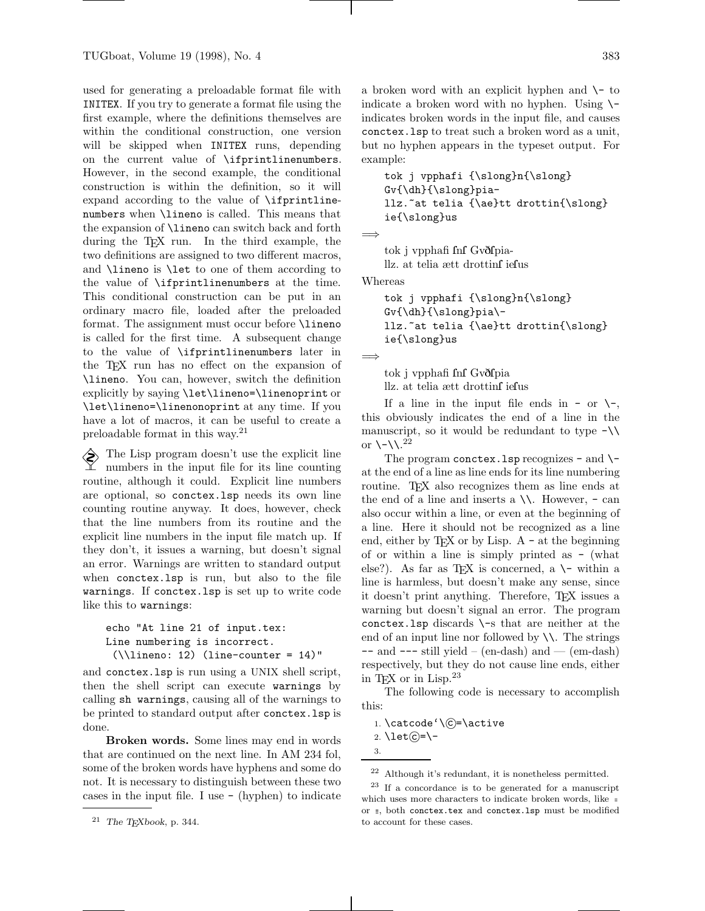used for generating a preloadable format file with INITEX. If you try to generate a format file using the first example, where the definitions themselves are within the conditional construction, one version will be skipped when INITEX runs, depending on the current value of \ifprintlinenumbers. However, in the second example, the conditional construction is within the definition, so it will expand according to the value of \ifprintlinenumbers when \lineno is called. This means that the expansion of \lineno can switch back and forth during the TEX run. In the third example, the two definitions are assigned to two different macros, and \lineno is \let to one of them according to the value of \ifprintlinenumbers at the time. This conditional construction can be put in an ordinary macro file, loaded after the preloaded format. The assignment must occur before **\lineno** is called for the first time. A subsequent change to the value of \ifprintlinenumbers later in the TEX run has no effect on the expansion of \lineno. You can, however, switch the definition explicitly by saying \let\lineno=\linenoprint or \let\lineno=\linenonoprint at any time. If you have a lot of macros, it can be useful to create a preloadable format in this way.<sup>21</sup>

 $\diamondsuit$  The Lisp program doesn't use the explicit line numbers in the input file for its line counting routine, although it could. Explicit line numbers are optional, so conctex.lsp needs its own line counting routine anyway. It does, however, check that the line numbers from its routine and the explicit line numbers in the input file match up. If they don't, it issues a warning, but doesn't signal an error. Warnings are written to standard output when conctex.lsp is run, but also to the file warnings. If conctex.lsp is set up to write code like this to warnings:

```
echo "At line 21 of input.tex:
Line numbering is incorrect.
 (\lambda) ineno: 12) (line-counter = 14)"
```
and conctex.lsp is run using a UNIX shell script, then the shell script can execute warnings by calling sh warnings, causing all of the warnings to be printed to standard output after conctex.lsp is done.

Broken words. Some lines may end in words that are continued on the next line. In AM 234 fol, some of the broken words have hyphens and some do not. It is necessary to distinguish between these two cases in the input file. I use - (hyphen) to indicate a broken word with an explicit hyphen and  $\setminus$ - to indicate a broken word with no hyphen. Using  $\setminus$ indicates broken words in the input file, and causes conctex.lsp to treat such a broken word as a unit, but no hyphen appears in the typeset output. For example:

tok j vpphafi {\slong}n{\slong} Gv{\dh}{\slong}piallz.~at telia {\ae}tt drottin{\slong} ie{\slong}us

=⇒

tok j vpphafi fnf Gvðfpiallz. at telia ætt drottinf iefus

Whereas

```
tok j vpphafi {\slong}n{\slong}
Gv{\dh}{\slong}piallz.~at telia {\ae}tt drottin{\slong}
ie{\slong}us
```
=⇒

tok j vpphafi fnf Gvðfpia llz. at telia ætt drottinfiefus

If a line in the input file ends in - or  $\setminus$ this obviously indicates the end of a line in the manuscript, so it would be redundant to type  $-\lambda$ or  $\setminus$ - $\setminus$ .<sup>22</sup>

The program conctex. Lsp recognizes  $-$  and  $\$ at the end of a line as line ends for its line numbering routine. TEX also recognizes them as line ends at the end of a line and inserts a  $\setminus\setminus$ . However, - can also occur within a line, or even at the beginning of a line. Here it should not be recognized as a line end, either by TEX or by Lisp. A - at the beginning of or within a line is simply printed as - (what else?). As far as TEX is concerned, a  $\setminus$ - within a line is harmless, but doesn't make any sense, since it doesn't print anything. Therefore, TEX issues a warning but doesn't signal an error. The program conctex. Isp discards  $\$ -s that are neither at the end of an input line nor followed by  $\setminus\setminus$ . The strings  $--$  and  $---$  still yield  $-$  (en-dash) and  $--$  (em-dash) respectively, but they do not cause line ends, either in TEX or in Lisp.<sup>23</sup>

The following code is necessary to accomplish this:

```
1. \catcode '\\widehat{c} = \active
```

```
2. \let \odot = \
```

```
3.
```
 $\ensuremath{^{21}}$  The TEX<br>book, p. 344.

<sup>22</sup> Although it's redundant, it is nonetheless permitted.

<sup>23</sup> If a concordance is to be generated for a manuscript which uses more characters to indicate broken words, like = or  $\equiv$ , both conctex.tex and conctex.1sp must be modified to account for these cases.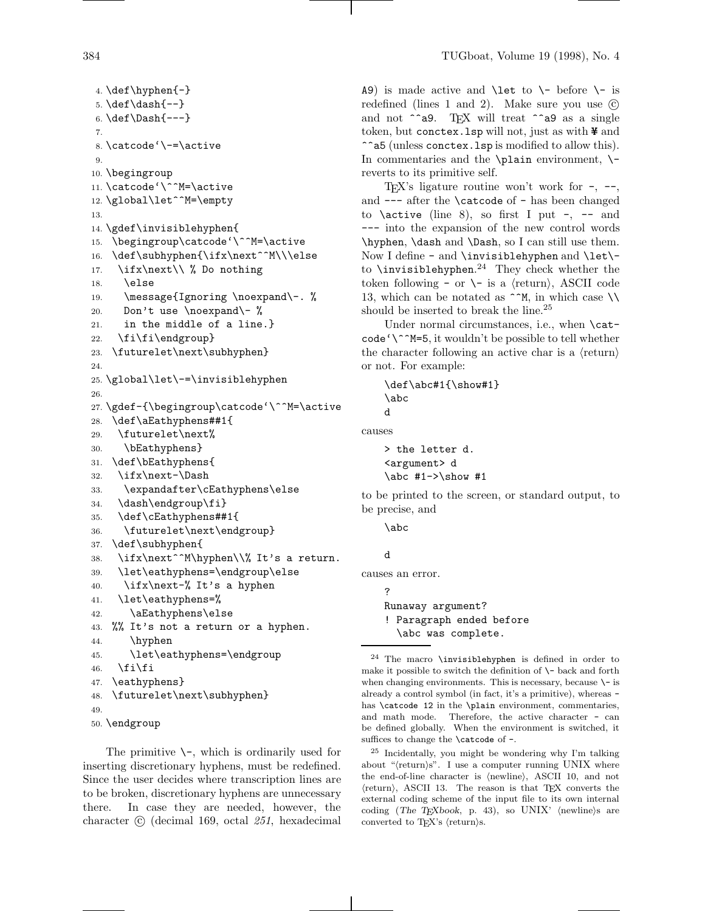```
4. \def\hbox{\rm\bf{--}}5. \def\dash{--}
6. \det\Data{---}7.
8. \catcode'\-=\active
9.
10. \begingroup
11. \catcode'\^^M=\active
12. \global\let^^M=\empty
13.
14. \gdef\invisiblehyphen{
15. \begingroup\catcode'\^^M=\active
16. \def\subhyphen{\ifx\next^^M\\\else
17. \ifx\next\\ % Do nothing
18. \else
19. \message{Ignoring \noexpand\-. %
20. Don't use \noexpand\- %
21. in the middle of a line.}
22. \fi\fi\endgroup}
23. \futurelet\next\subhyphen}
24.
25. \global\let\-=\invisiblehyphen
26.
27. \gdef-{\begingroup\catcode'\^^M=\active
28. \def\aEathyphens##1{
29. \futurelet\next%
30. \bEathyphens}
31. \def\bEathyphens{
32. \ifx\next-\Dash
33. \expandafter\cEathyphens\else
34. \dash\endgroup\fi}
35. \def\cEathyphens##1{
36. \futurelet\next\endgroup}
37. \def\subhyphen{
38. \ifx\next^^M\hyphen\\% It's a return.
39. \let\eathyphens=\endgroup\else
40. \iint x\next-\n% It's a hyphen41. \let\eathyphens=%
42. \aEathyphens\else
43. %% It's not a return or a hyphen.
44. \hyphen
45. \let\eathyphens=\endgroup
46. \tilde{\text{fil}}47. \eathyphens}
48. \futurelet\next\subhyphen}
49.
```

```
50. \endgroup
```
The primitive  $\setminus$ -, which is ordinarily used for inserting discretionary hyphens, must be redefined. Since the user decides where transcription lines are to be broken, discretionary hyphens are unnecessary there. In case they are needed, however, the character  $\odot$  (decimal 169, octal 251, hexadecimal

A9) is made active and  $\let$  to  $\l - \text{ before } \l - \text{ is}$ redefined (lines 1 and 2). Make sure you use  $\odot$ and not  $\hat{\ }$ a9. TEX will treat  $\hat{\ }$ a9 as a single token, but conctex. Isp will not, just as with  $\frac{4}{7}$  and ^^a5 (unless conctex.lsp is modified to allow this). In commentaries and the  $\alpha$  environment,  $\$ reverts to its primitive self.

T<sub>E</sub>X's ligature routine won't work for  $-$ ,  $-$ , and --- after the \catcode of - has been changed to \active (line 8), so first I put  $-$ ,  $-$  and --- into the expansion of the new control words \hyphen, \dash and \Dash, so I can still use them. Now I define - and \invisiblehyphen and \let\ to \invisiblehyphen. <sup>24</sup> They check whether the token following - or  $\setminus$ - is a  $\langle$ return $\rangle$ , ASCII code 13, which can be notated as ^^M, in which case  $\setminus\setminus$ should be inserted to break the line.<sup>25</sup>

Under normal circumstances, i.e., when \cat $code' \^M=5$ , it wouldn't be possible to tell whether the character following an active char is a  $\langle$ return $\rangle$ or not. For example:

\def\abc#1{\show#1} \abc d

causes

```
> the letter d.
<argument> d
\abc #1->\show #1
```
to be printed to the screen, or standard output, to be precise, and

\abc

```
d
```
causes an error.

? Runaway argument? ! Paragraph ended before \abc was complete.

<sup>25</sup> Incidentally, you might be wondering why I'm talking about " $\langle$ return $\rangle$ s". I use a computer running UNIX where the end-of-line character is  $\langle$ newline $\rangle$ , ASCII 10, and not  $\langle$ return $\rangle$ , ASCII 13. The reason is that TEX converts the external coding scheme of the input file to its own internal coding (The TEXbook, p. 43), so UNIX' (newline)s are converted to TEX's  $\langle$ return $\rangle$ s.

 $24$  The macro \invisiblehyphen is defined in order to make it possible to switch the definition of  $\$ - back and forth when changing environments. This is necessary, because  $\setminus$ - is already a control symbol (in fact, it's a primitive), whereas has \catcode 12 in the \plain environment, commentaries, and math mode. Therefore, the active character - can be defined globally. When the environment is switched, it suffices to change the **\catcode** of -.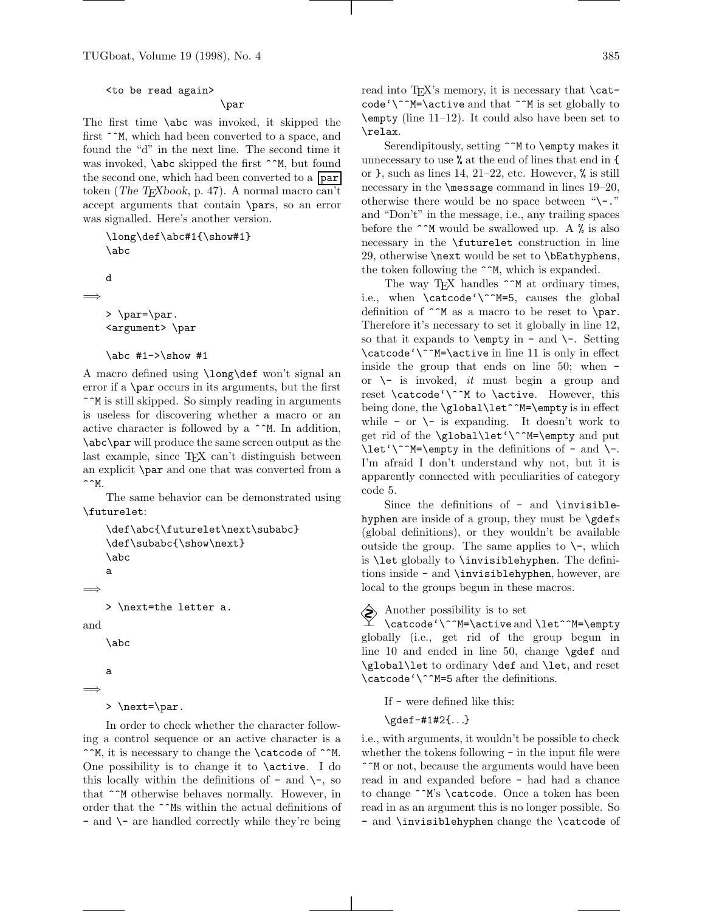### <to be read again>

# \par

The first time \abc was invoked, it skipped the first  $\hat{\ }$ <sup>M</sup>, which had been converted to a space, and found the "d" in the next line. The second time it was invoked, **\abc** skipped the first ^^M, but found the second one, which had been converted to a **par** token (The T<sub>E</sub>Xbook, p. 47). A normal macro can't accept arguments that contain \pars, so an error was signalled. Here's another version.

```
\long\def\abc#1{\show#1}
   \abc
   d
=⇒
   > \par=\par.
   <argument> \par
   \abc #1->\show #1
```
A macro defined using \long\def won't signal an error if a \par occurs in its arguments, but the first ^^M is still skipped. So simply reading in arguments is useless for discovering whether a macro or an active character is followed by a ^^M. In addition, \abc\par will produce the same screen output as the last example, since T<sub>E</sub>X can't distinguish between an explicit \par and one that was converted from a  $\hat{M}$ .

The same behavior can be demonstrated using \futurelet:

```
\def\abc{\futurelet\next\subabc}
    \def\subabc{\show\next}
    \abc
    a
=⇒
    > \next=the letter a.
and
    \abc
    a
=⇒
```
> \next=\par.

In order to check whether the character following a control sequence or an active character is a ^^M, it is necessary to change the \catcode of ^^M. One possibility is to change it to \active. I do this locally within the definitions of  $-$  and  $\setminus$ -, so that ^^M otherwise behaves normally. However, in order that the  $\verb|^^ms$  within the actual definitions of - and \- are handled correctly while they're being read into T<sub>EX</sub>'s memory, it is necessary that  $\cat$  $code' \^M=\active$  and that  $\hat{\ }$  M is set globally to \empty (line 11–12). It could also have been set to \relax.

Serendipitously, setting  $\hat{\ }$ M to **\empty** makes it unnecessary to use % at the end of lines that end in { or  $\}$ , such as lines 14, 21–22, etc. However,  $\%$  is still necessary in the **\message** command in lines 19–20, otherwise there would be no space between " $\$ and "Don't" in the message, i.e., any trailing spaces before the  $\hat{\phantom{a}}$  M would be swallowed up. A % is also necessary in the \futurelet construction in line 29, otherwise \next would be set to \bEathyphens, the token following the  $\sim M$ , which is expanded.

The way TEX handles  $\hat{\phantom{a}}$  at ordinary times, i.e., when \catcode'\^^M=5, causes the global definition of  $\hat{M}$  as a macro to be reset to  $\langle$ par. Therefore it's necessary to set it globally in line 12, so that it expands to  $\emptyset$  in - and  $\$ -. Setting \catcode'\^^M=\active in line 11 is only in effect inside the group that ends on line 50; when or  $\setminus$ - is invoked, *it* must begin a group and reset \catcode'\^^M to \active. However, this being done, the \global\let^^M=\empty is in effect while - or  $\setminus$ - is expanding. It doesn't work to get rid of the \global\let'\^^M=\empty and put  $\let' \^M=\emptyset$  in the definitions of - and  $\.-$ I'm afraid I don't understand why not, but it is apparently connected with peculiarities of category code 5.

Since the definitions of - and \invisiblehyphen are inside of a group, they must be  $\qquade$ (global definitions), or they wouldn't be available outside the group. The same applies to  $\setminus$ -, which is \let globally to \invisiblehyphen. The definitions inside - and \invisiblehyphen, however, are local to the groups begun in these macros.

### $\diamondsuit$  Another possibility is to set

\catcode'\^^M=\active and \let^^M=\empty globally (i.e., get rid of the group begun in line 10 and ended in line 50, change \gdef and \global\let to ordinary \def and \let, and reset \catcode'\^^M=5 after the definitions.

If - were defined like this:

\gdef-#1#2{...}

i.e., with arguments, it wouldn't be possible to check whether the tokens following - in the input file were ^^M or not, because the arguments would have been read in and expanded before - had had a chance to change ^^M's \catcode. Once a token has been read in as an argument this is no longer possible. So - and \invisiblehyphen change the \catcode of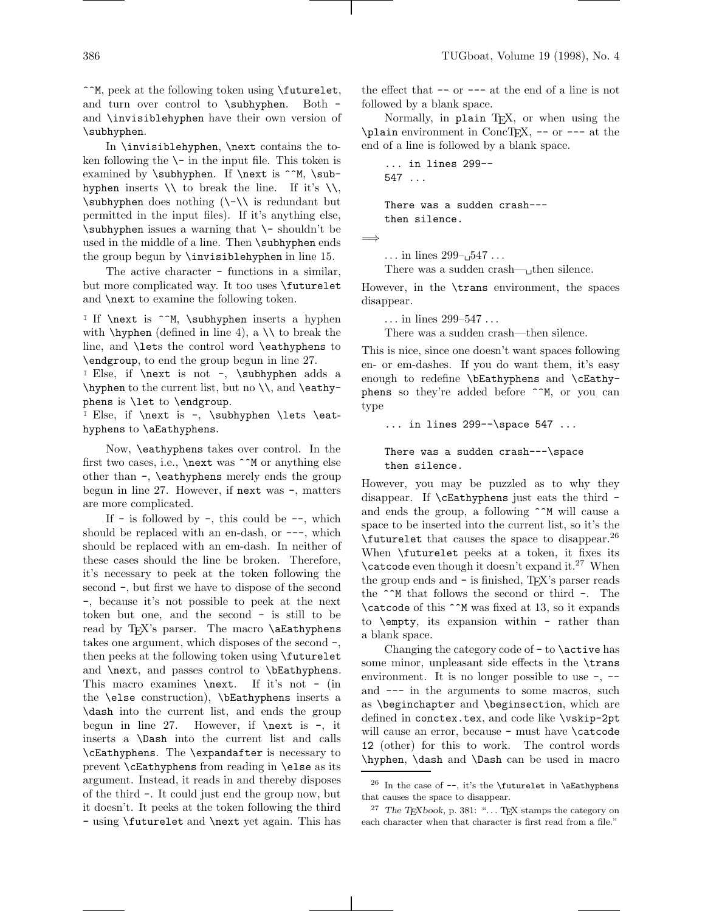^^M, peek at the following token using \futurelet, and turn over control to \subhyphen. Both and \invisiblehyphen have their own version of \subhyphen.

In \invisiblehyphen, \next contains the token following the  $\mathcal{L}$  in the input file. This token is examined by \subhyphen. If \next is ^^M, \subhyphen inserts  $\setminus \setminus$  to break the line. If it's  $\setminus \setminus$ , \subhyphen does nothing (\-\\ is redundant but permitted in the input files). If it's anything else, \subhyphen issues a warning that \- shouldn't be used in the middle of a line. Then \subhyphen ends the group begun by \invisiblehyphen in line 15.

The active character - functions in a similar, but more complicated way. It too uses \futurelet and \next to examine the following token.

I If **\next** is ^^M, **\subhyphen** inserts a hyphen with  $\hbox{\hbox{hyper}}$  (defined in line 4), a  $\hbox{\hbox{th}}$  to break the line, and \lets the control word \eathyphens to \endgroup, to end the group begun in line 27.

<sup>I</sup> Else, if \next is not -, \subhyphen adds a  $\h$ yphen to the current list, but no  $\\$  and  $\e$ phens is \let to \endgroup.

I Else, if  $\nextbox{1.5}\n  $-$ , \subhyphen \lets \eat$ hyphens to \aEathyphens.

Now, \eathyphens takes over control. In the first two cases, i.e.,  $\nextrow{next}$  was  $\hat{\wedge}$  or anything else other than -, \eathyphens merely ends the group begun in line 27. However, if next was -, matters are more complicated.

If  $-$  is followed by  $-$ , this could be  $-$ , which should be replaced with an en-dash, or  $---$ , which should be replaced with an em-dash. In neither of these cases should the line be broken. Therefore, it's necessary to peek at the token following the second -, but first we have to dispose of the second -, because it's not possible to peek at the next token but one, and the second - is still to be read by TEX's parser. The macro \aEathyphens takes one argument, which disposes of the second -, then peeks at the following token using \futurelet and \next, and passes control to \bEathyphens. This macro examines \next. If it's not - (in the \else construction), \bEathyphens inserts a \dash into the current list, and ends the group begun in line 27. However, if  $\nextbox{7.} next$  is -, it inserts a \Dash into the current list and calls \cEathyphens. The \expandafter is necessary to prevent \cEathyphens from reading in \else as its argument. Instead, it reads in and thereby disposes of the third -. It could just end the group now, but it doesn't. It peeks at the token following the third - using \futurelet and \next yet again. This has the effect that -- or --- at the end of a line is not followed by a blank space.

Normally, in plain TFX, or when using the \plain environment in ConcTEX, -- or --- at the end of a line is followed by a blank space.

... in lines 299-- 547 ...

There was a sudden crash-- then silence.

=⇒

... in lines  $299 - 547$ ...

There was a sudden crash— $\Box$ then silence.

However, in the \trans environment, the spaces disappear.

... in lines 299–547 ...

There was a sudden crash—then silence.

This is nice, since one doesn't want spaces following en- or em-dashes. If you do want them, it's easy enough to redefine \bEathyphens and \cEathyphens so they're added before "M, or you can type

... in lines 299--\space 547 ...

### There was a sudden crash---\space then silence.

However, you may be puzzled as to why they disappear. If \cEathyphens just eats the third and ends the group, a following  $\hat{\ }$ M will cause a space to be inserted into the current list, so it's the \futurelet that causes the space to disappear.<sup>26</sup> When \futurelet peeks at a token, it fixes its  $\text{catcode}$  even though it doesn't expand it.<sup>27</sup> When the group ends and - is finished, TEX's parser reads the  $\hat{\ }$  M that follows the second or third -. The \catcode of this ^^M was fixed at 13, so it expands to \empty, its expansion within - rather than a blank space.

Changing the category code of  $-$  to  $\a$ ctive has some minor, unpleasant side effects in the \trans environment. It is no longer possible to use  $-$ ,  $$ and --- in the arguments to some macros, such as \beginchapter and \beginsection, which are defined in conctex.tex, and code like \vskip-2pt will cause an error, because - must have **\catcode** 12 (other) for this to work. The control words \hyphen, \dash and \Dash can be used in macro

 $^{26}$  In the case of --, it's the **\futurelet** in **\aEathyphens** that causes the space to disappear.

 $27$  The TEXbook, p. 381: "... TEX stamps the category on each character when that character is first read from a file."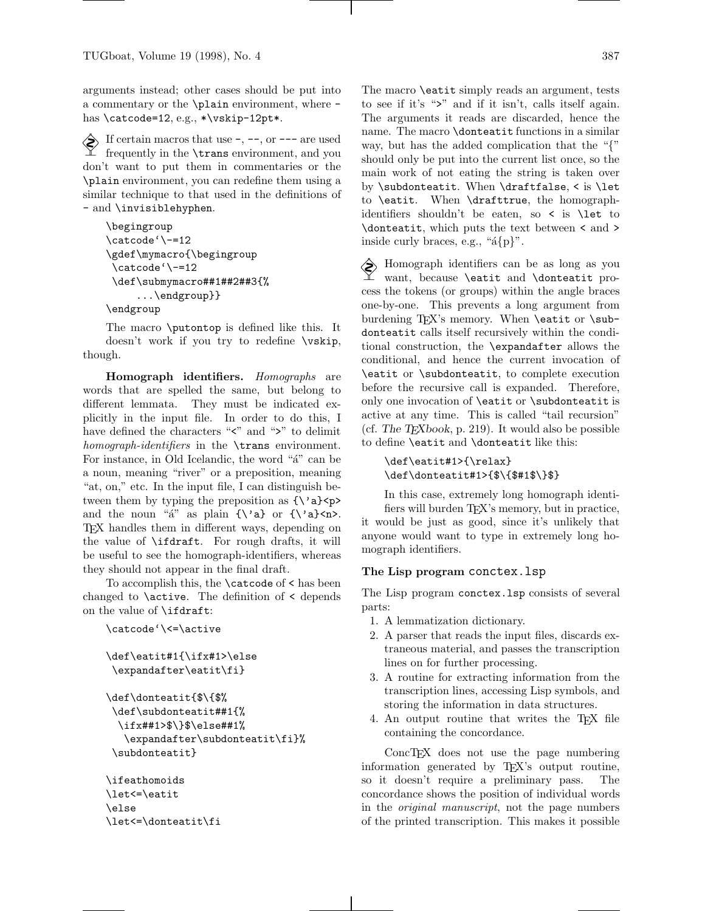arguments instead; other cases should be put into a commentary or the \plain environment, where has \catcode=12, e.g., \*\vskip-12pt\*.

 $\diamondsuit$  If certain macros that use -, --, or --- are used frequently in the \trans environment, and you don't want to put them in commentaries or the \plain environment, you can redefine them using a similar technique to that used in the definitions of - and \invisiblehyphen.

```
\begingroup
\catcode'\-=12
\gdef\mymacro{\begingroup
\catcode'\-=12
\def\submymacro##1##2##3{%
     ...\endgroup}}
\endgroup
```
The macro \putontop is defined like this. It doesn't work if you try to redefine \vskip, though.

Homograph identifiers. Homographs are words that are spelled the same, but belong to different lemmata. They must be indicated explicitly in the input file. In order to do this, I have defined the characters " $\leq$ " and " $\geq$ " to delimit homograph-identifiers in the **\trans** environment. For instance, in Old Icelandic, the word " $a''$ " can be a noun, meaning "river" or a preposition, meaning "at, on," etc. In the input file, I can distinguish between them by typing the preposition as  $\{\}'a\}$ and the noun " $a''$  as plain  ${\{\}'a\}$  or  ${\{\}'a\}$  or. TEX handles them in different ways, depending on the value of \ifdraft. For rough drafts, it will be useful to see the homograph-identifiers, whereas they should not appear in the final draft.

To accomplish this, the \catcode of < has been changed to \active. The definition of < depends on the value of \ifdraft:

```
\catcode'\<=\active
```

```
\def\eatit#1{\ifx#1>\else
\expandafter\eatit\fi}
```

```
\def\donteatit{$\{$%
 \def\subdonteatit##1{%
  \ifx##1>$\}$\else##1%
   \expandafter\subdonteatit\fi}%
 \subdonteatit}
```

```
\ifeathomoids
\let<=\eatit
\else
\let<=\donteatit\fi
```
The macro \eatit simply reads an argument, tests to see if it's ">" and if it isn't, calls itself again. The arguments it reads are discarded, hence the name. The macro \donteatit functions in a similar way, but has the added complication that the "{" should only be put into the current list once, so the main work of not eating the string is taken over by \subdonteatit. When \draftfalse, < is \let to \eatit. When \drafttrue, the homographidentifiers shouldn't be eaten, so < is \let to \donteatit, which puts the text between < and >

 Homograph identifiers can be as long as you want, because \eatit and \donteatit process the tokens (or groups) within the angle braces one-by-one. This prevents a long argument from burdening TFX's memory. When **\eatit** or **\sub**donteatit calls itself recursively within the conditional construction, the \expandafter allows the conditional, and hence the current invocation of \eatit or \subdonteatit, to complete execution before the recursive call is expanded. Therefore, only one invocation of \eatit or \subdonteatit is active at any time. This is called "tail recursion" (cf. The  $T_F X book$ , p. 219). It would also be possible to define \eatit and \donteatit like this:

inside curly braces, e.g., " $a{p}$ .".

```
\def\eatit#1>{\relax}
\def\donteatit#1>{$\{$#1$\}$}
```
In this case, extremely long homograph identifiers will burden T<sub>EX</sub>'s memory, but in practice, it would be just as good, since it's unlikely that anyone would want to type in extremely long homograph identifiers.

## The Lisp program conctex.lsp

The Lisp program conctex.lsp consists of several parts:

- 1. A lemmatization dictionary.
- 2. A parser that reads the input files, discards extraneous material, and passes the transcription lines on for further processing.
- 3. A routine for extracting information from the transcription lines, accessing Lisp symbols, and storing the information in data structures.
- 4. An output routine that writes the TEX file containing the concordance.

ConcTEX does not use the page numbering information generated by TEX's output routine, so it doesn't require a preliminary pass. The concordance shows the position of individual words in the original manuscript, not the page numbers of the printed transcription. This makes it possible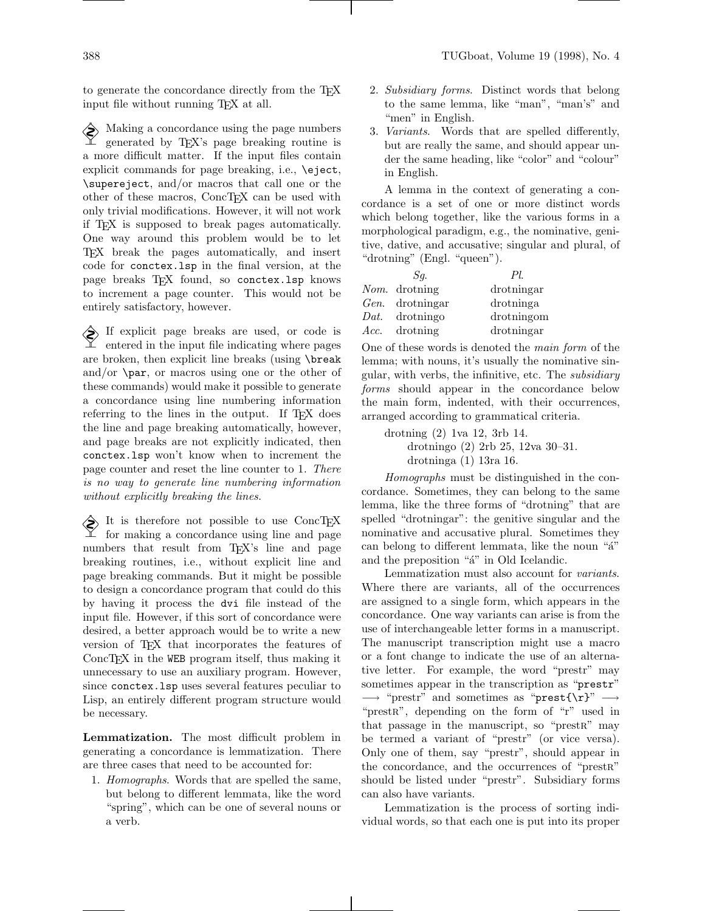to generate the concordance directly from the TEX input file without running T<sub>EX</sub> at all.

Making a concordance using the page numbers<br>  $\sum_{\text{generated by TeV}}$ generated by TEX's page breaking routine is a more difficult matter. If the input files contain explicit commands for page breaking, i.e., \eject, \supereject, and/or macros that call one or the other of these macros, ConcTEX can be used with only trivial modifications. However, it will not work if TEX is supposed to break pages automatically. One way around this problem would be to let TEX break the pages automatically, and insert code for conctex.lsp in the final version, at the page breaks TFX found, so conctex. Isp knows to increment a page counter. This would not be entirely satisfactory, however.

If explicit page breaks are used, or code is entered in the input file indicating where pages are broken, then explicit line breaks (using \break and/or  $\parrow$  par, or macros using one or the other of these commands) would make it possible to generate a concordance using line numbering information referring to the lines in the output. If T<sub>E</sub>X does the line and page breaking automatically, however, and page breaks are not explicitly indicated, then conctex.lsp won't know when to increment the page counter and reset the line counter to 1. There is no way to generate line numbering information without explicitly breaking the lines.

 It is therefore not possible to use ConcTEX for making a concordance using line and page numbers that result from T<sub>EX</sub>'s line and page breaking routines, i.e., without explicit line and page breaking commands. But it might be possible to design a concordance program that could do this by having it process the dvi file instead of the input file. However, if this sort of concordance were desired, a better approach would be to write a new version of TEX that incorporates the features of ConcT<sub>EX</sub> in the WEB program itself, thus making it unnecessary to use an auxiliary program. However, since conctex.lsp uses several features peculiar to Lisp, an entirely different program structure would be necessary.

Lemmatization. The most difficult problem in generating a concordance is lemmatization. There are three cases that need to be accounted for:

1. Homographs. Words that are spelled the same, but belong to different lemmata, like the word "spring", which can be one of several nouns or a verb.

- 2. Subsidiary forms. Distinct words that belong to the same lemma, like "man", "man's" and "men" in English.
- 3. Variants. Words that are spelled differently, but are really the same, and should appear under the same heading, like "color" and "colour" in English.

A lemma in the context of generating a concordance is a set of one or more distinct words which belong together, like the various forms in a morphological paradigm, e.g., the nominative, genitive, dative, and accusative; singular and plural, of "drotning" (Engl. "queen").

| Sa.                    | PL         |
|------------------------|------------|
| Nom. drotning          | drotningar |
| <i>Gen.</i> drotningar | drotninga  |
| Dat. drotningo         | drotningom |
| <i>Acc.</i> drotning   | drotningar |

One of these words is denoted the main form of the lemma; with nouns, it's usually the nominative singular, with verbs, the infinitive, etc. The subsidiary forms should appear in the concordance below the main form, indented, with their occurrences, arranged according to grammatical criteria.

drotning (2) 1va 12, 3rb 14. drotningo (2) 2rb 25, 12va 30–31. drotninga (1) 13ra 16.

Homographs must be distinguished in the concordance. Sometimes, they can belong to the same lemma, like the three forms of "drotning" that are spelled "drotningar": the genitive singular and the nominative and accusative plural. Sometimes they can belong to different lemmata, like the noun "a" and the preposition "a" in Old Icelandic.

Lemmatization must also account for variants. Where there are variants, all of the occurrences are assigned to a single form, which appears in the concordance. One way variants can arise is from the use of interchangeable letter forms in a manuscript. The manuscript transcription might use a macro or a font change to indicate the use of an alternative letter. For example, the word "prestr" may sometimes appear in the transcription as "prestr"  $\rightarrow$  "prestr" and sometimes as "prest{\r}"  $\rightarrow$ "prestra", depending on the form of "r" used in that passage in the manuscript, so "prestR" may be termed a variant of "prestr" (or vice versa). Only one of them, say "prestr", should appear in the concordance, and the occurrences of "prestre" should be listed under "prestr". Subsidiary forms can also have variants.

Lemmatization is the process of sorting individual words, so that each one is put into its proper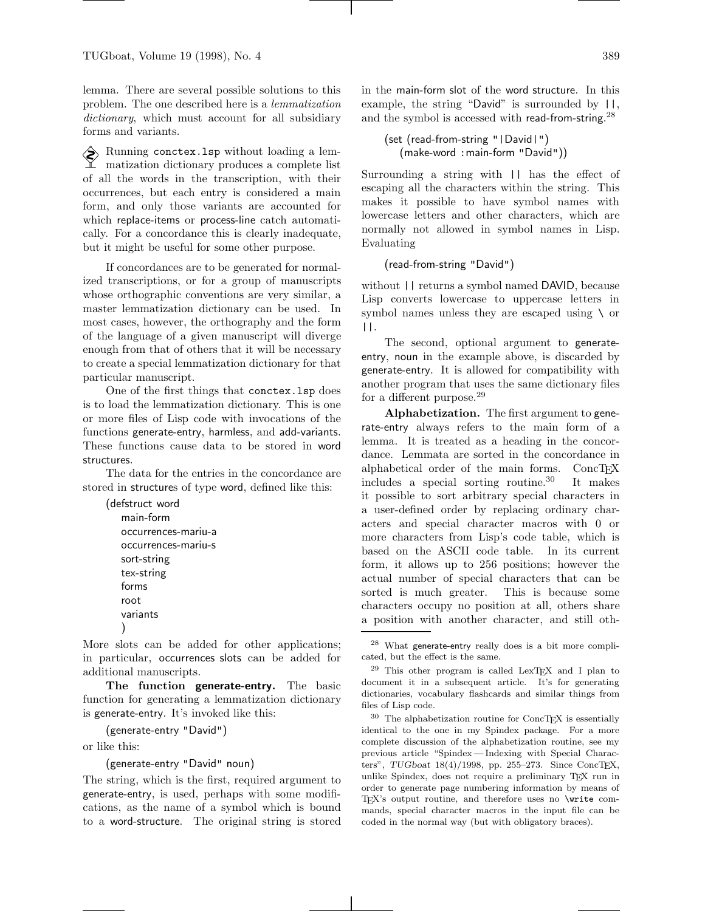lemma. There are several possible solutions to this problem. The one described here is a lemmatization dictionary, which must account for all subsidiary forms and variants.

 $\bigotimes_{\text{m}}$  Running conctex.1sp without loading a lem-<br> $\text{m}$  matization dictions matization dictionary produces a complete list of all the words in the transcription, with their occurrences, but each entry is considered a main form, and only those variants are accounted for which replace-items or process-line catch automatically. For a concordance this is clearly inadequate, but it might be useful for some other purpose.

If concordances are to be generated for normalized transcriptions, or for a group of manuscripts whose orthographic conventions are very similar, a master lemmatization dictionary can be used. In most cases, however, the orthography and the form of the language of a given manuscript will diverge enough from that of others that it will be necessary to create a special lemmatization dictionary for that particular manuscript.

One of the first things that conctex.lsp does is to load the lemmatization dictionary. This is one or more files of Lisp code with invocations of the functions generate-entry, harmless, and add-variants. These functions cause data to be stored in word structures.

The data for the entries in the concordance are stored in structures of type word, defined like this:

```
(defstruct word
   main-form
   occurrences-mariu-a
   occurrences-mariu-s
   sort-string
   tex-string
   forms
   root
   variants
   )
```
More slots can be added for other applications; in particular, occurrences slots can be added for additional manuscripts.

The function generate-entry. The basic function for generating a lemmatization dictionary is generate-entry. It's invoked like this:

```
(generate-entry "David")
```
or like this:

(generate-entry "David" noun)

The string, which is the first, required argument to generate-entry, is used, perhaps with some modifications, as the name of a symbol which is bound to a word-structure. The original string is stored

in the main-form slot of the word structure. In this example, the string "David" is surrounded by ||, and the symbol is accessed with read-from-string.<sup>28</sup>

```
(set (read-from-string "|David|")
  (make-word :main-form "David"))
```
Surrounding a string with || has the effect of escaping all the characters within the string. This makes it possible to have symbol names with lowercase letters and other characters, which are normally not allowed in symbol names in Lisp. Evaluating

```
(read-from-string "David")
```
without || returns a symbol named DAVID, because Lisp converts lowercase to uppercase letters in symbol names unless they are escaped using \ or ||.

The second, optional argument to generateentry, noun in the example above, is discarded by generate-entry. It is allowed for compatibility with another program that uses the same dictionary files for a different purpose.<sup>29</sup>

Alphabetization. The first argument to generate-entry always refers to the main form of a lemma. It is treated as a heading in the concordance. Lemmata are sorted in the concordance in alphabetical order of the main forms.  $ConcT<sub>E</sub>X$ <br>includes a special sorting routine.<sup>30</sup> It makes includes a special sorting routine.<sup>30</sup> it possible to sort arbitrary special characters in a user-defined order by replacing ordinary characters and special character macros with 0 or more characters from Lisp's code table, which is based on the ASCII code table. In its current form, it allows up to 256 positions; however the actual number of special characters that can be sorted is much greater. This is because some characters occupy no position at all, others share a position with another character, and still oth-

<sup>28</sup> What generate-entry really does is a bit more complicated, but the effect is the same.

<sup>29</sup> This other program is called LexTEX and I plan to document it in a subsequent article. It's for generating dictionaries, vocabulary flashcards and similar things from files of Lisp code.

 $^{30}\,$  The alphabetization routine for ConcTEX is essentially identical to the one in my Spindex package. For a more complete discussion of the alphabetization routine, see my previous article "Spindex — Indexing with Special Characters", TUGboat 18(4)/1998, pp. 255-273. Since ConcTEX, unlike Spindex, does not require a preliminary TEX run in order to generate page numbering information by means of TEX's output routine, and therefore uses no \write commands, special character macros in the input file can be coded in the normal way (but with obligatory braces).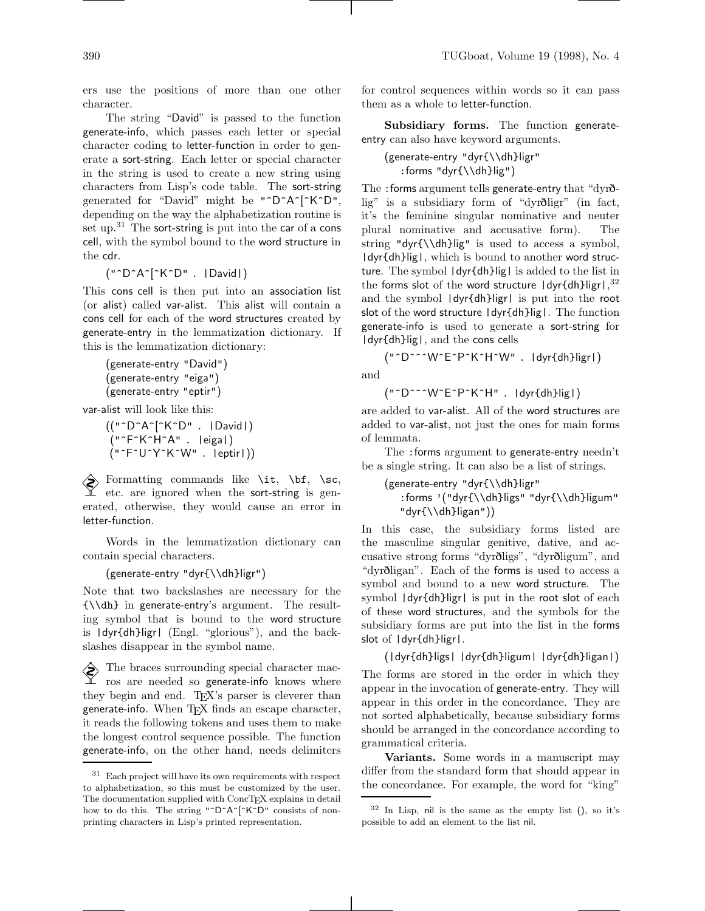ers use the positions of more than one other character.

The string "David" is passed to the function generate-info, which passes each letter or special character coding to letter-function in order to generate a sort-string. Each letter or special character in the string is used to create a new string using characters from Lisp's code table. The sort-string generated for "David" might be "^D^A^[^K^D", depending on the way the alphabetization routine is set up. $31$  The sort-string is put into the car of a cons cell, with the symbol bound to the word structure in the cdr.

("^D^A^[^K^D". |David|)

This cons cell is then put into an association list (or alist) called var-alist. This alist will contain a cons cell for each of the word structures created by generate-entry in the lemmatization dictionary. If this is the lemmatization dictionary:

```
(generate-entry "David")
(generate-entry "eiga")
(generate-entry "eptir")
```
var-alist will look like this:

 $(("^{\wedge}D^{\wedge}A^{\wedge}[\wedge K^{\wedge}D" . \ |$ David|) ("^F^K^H^A". |eiga|) ("^F^U^Y^K^W". |eptir|))

Formatting commands like  $\setminus$ it,  $\setminus$ bf,  $\setminus$ sc, etc. are ignored when the sort-string is generated, otherwise, they would cause an error in letter-function.

Words in the lemmatization dictionary can contain special characters.

```
(generate-entry "dyr{\\dh}ligr")
```
Note that two backslashes are necessary for the {\\dh} in generate-entry's argument. The resulting symbol that is bound to the word structure is |dyr{dh}ligr| (Engl. "glorious"), and the backslashes disappear in the symbol name.

 $\diamondsuit$  The braces surrounding special character macros are needed so generate-info knows where they begin and end. TEX's parser is cleverer than generate-info. When TFX finds an escape character, it reads the following tokens and uses them to make the longest control sequence possible. The function generate-info, on the other hand, needs delimiters for control sequences within words so it can pass them as a whole to letter-function.

Subsidiary forms. The function generateentry can also have keyword arguments.

(generate-entry "dyr{\\dh}ligr" :forms "dyr{\\dh}lig")

The :forms argument tells generate-entry that "dyrðlig" is a subsidiary form of "dyrðligr" (in fact, it's the feminine singular nominative and neuter plural nominative and accusative form). The string "dyr{\\dh}lig" is used to access a symbol,  $\frac{1}{\sqrt{d}}$  | dyr{dh}lig |, which is bound to another word structure. The symbol |dyr{dh}lig| is added to the list in the forms slot of the word structure  $\frac{1}{\text{dyr}} \frac{1}{\text{d}y}$ and the symbol |dyr{dh}ligr| is put into the root slot of the word structure |dyr{dh}lig|. The function generate-info is used to generate a sort-string for |dyr{dh}lig|, and the cons cells

("^D^^^W^E^P^K^H^W". |dyr{dh}ligr|) and

("^D^^^W^E^P^K^H". |dyr{dh}lig|)

are added to var-alist. All of the word structures are added to var-alist, not just the ones for main forms of lemmata.

The :forms argument to generate-entry needn't be a single string. It can also be a list of strings.

```
(generate-entry "dyr{\\dh}ligr"
   :forms '("dyr{\\dh}ligs" "dyr{\\dh}ligum"
   "dyr{\\dh}ligan"))
```
In this case, the subsidiary forms listed are the masculine singular genitive, dative, and accusative strong forms "dyrðligs", "dyrðligum", and "dyrðligan". Each of the forms is used to access a symbol and bound to a new word structure. The symbol |dyr{dh}ligr| is put in the root slot of each of these word structures, and the symbols for the subsidiary forms are put into the list in the forms slot of |dyr{dh}ligr|.

(|dyr{dh}ligs| |dyr{dh}ligum| |dyr{dh}ligan|) The forms are stored in the order in which they appear in the invocation of generate-entry. They will appear in this order in the concordance. They are not sorted alphabetically, because subsidiary forms should be arranged in the concordance according to grammatical criteria.

Variants. Some words in a manuscript may differ from the standard form that should appear in the concordance. For example, the word for "king"

<sup>31</sup> Each project will have its own requirements with respect to alphabetization, so this must be customized by the user. The documentation supplied with ConcTEX explains in detail how to do this. The string "^D^A^[^K^D" consists of nonprinting characters in Lisp's printed representation.

 $32$  In Lisp, nil is the same as the empty list (), so it's possible to add an element to the list nil.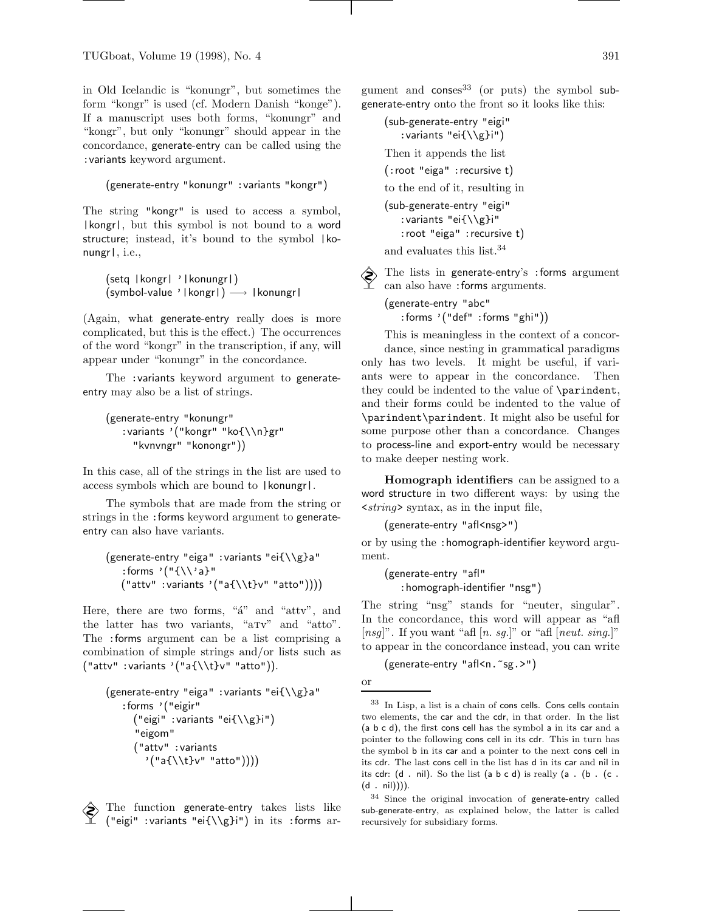in Old Icelandic is "konungr", but sometimes the form "kongr" is used (cf. Modern Danish "konge"). If a manuscript uses both forms, "konungr" and "kongr", but only "konungr" should appear in the concordance, generate-entry can be called using the :variants keyword argument.

```
(generate-entry "konungr" :variants "kongr")
```
The string "kongr" is used to access a symbol, |kongr|, but this symbol is not bound to a word structure; instead, it's bound to the symbol |konungr|, i.e.,

(setq |kongr| '|konungr|) (symbol-value '|kongr|) −→ |konungr|

(Again, what generate-entry really does is more complicated, but this is the effect.) The occurrences of the word "kongr" in the transcription, if any, will appear under "konungr" in the concordance.

The :variants keyword argument to generateentry may also be a list of strings.

```
(generate-entry "konungr"
   :variants '("kongr" "ko{\\n}gr"
     "kvnvngr" "konongr"))
```
In this case, all of the strings in the list are used to access symbols which are bound to |konungr|.

The symbols that are made from the string or strings in the :forms keyword argument to generateentry can also have variants.

```
(generate-entry "eiga" :variants "ei{\\g}a"
   : forms '("{\{\}\}'a}"("attv" :variants '("a{\\t}v" "atto"))))
```
Here, there are two forms, "a" and "attv", and the latter has two variants, "aTv" and "atto". The :forms argument can be a list comprising a combination of simple strings and/or lists such as  $('l'attv' :variants'('a{}\\t}v' 'atto')).$ 

```
(generate-entry "eiga" :variants "ei{\\g}a"
   :forms '("eigir"
     ("eigi" :variants "ei{\\g}i")
      "eigom"
     ("attv" :variants
        '("a{\\t}v" "atto"))))
```
The function generate-entry takes lists like ("eigi" :variants "ei{\\g}i") in its :forms argument and  $\zeta$  conses<sup>33</sup> (or puts) the symbol subgenerate-entry onto the front so it looks like this:

(sub-generate-entry "eigi" :variants "ei{\\g}i") Then it appends the list (:root "eiga" :recursive t) to the end of it, resulting in (sub-generate-entry "eigi" :variants "ei{\\g}i" :root "eiga" :recursive t) and evaluates this list.<sup>34</sup>

 The lists in generate-entry's :forms argument can also have :forms arguments.

(generate-entry "abc" :forms '("def" :forms "ghi"))

This is meaningless in the context of a concordance, since nesting in grammatical paradigms only has two levels. It might be useful, if variants were to appear in the concordance. Then they could be indented to the value of \parindent, and their forms could be indented to the value of \parindent\parindent. It might also be useful for some purpose other than a concordance. Changes to process-line and export-entry would be necessary to make deeper nesting work.

Homograph identifiers can be assigned to a word structure in two different ways: by using the  $\langle \text{string} \rangle$  syntax, as in the input file,

```
(generate-entry "afl<nsg>")
```
or by using the :homograph-identifier keyword argument.

(generate-entry "afl" :homograph-identifier "nsg")

The string "nsg" stands for "neuter, singular". In the concordance, this word will appear as "afl [ $nsg$ ]". If you want "afl [n. sg.]" or "afl [ $neut.$  sing.]" to appear in the concordance instead, you can write

(generate-entry "afl<n.~sg.>")

or

<sup>33</sup> In Lisp, a list is a chain of cons cells. Cons cells contain two elements, the car and the cdr, in that order. In the list (a b c d), the first cons cell has the symbol a in its car and a pointer to the following cons cell in its cdr. This in turn has the symbol b in its car and a pointer to the next cons cell in its cdr. The last cons cell in the list has d in its car and nil in its cdr:  $(d \cdot nil)$ . So the list  $(a \ b \ c \ d)$  is really  $(a \cdot (b \cdot (c \cdot d)))$ (d . nil)))).

<sup>34</sup> Since the original invocation of generate-entry called sub-generate-entry, as explained below, the latter is called recursively for subsidiary forms.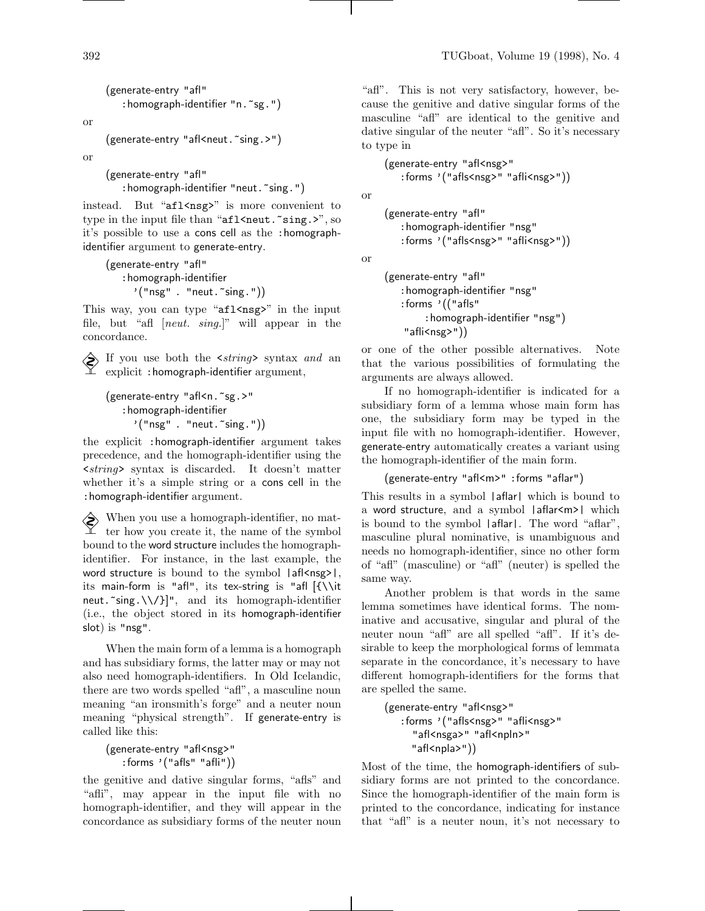(generate-entry "afl" : homograph-identifier "n. ~sg.")

or

```
(generate-entry "afl<neut."sing.>")
```
or

(generate-entry "afl" : homograph-identifier "neut. "sing.")

instead. But "afl<nsg>" is more convenient to type in the input file than "afl<neut."sing.>", so it's possible to use a cons cell as the :homographidentifier argument to generate-entry.

```
(generate-entry "afl"
   :homograph-identifier
     '("nsg" . "neut."sing.")
```
This way, you can type " $af1$ <nsg>" in the input file, but "afl [neut. sing.]" will appear in the concordance.

 $\diamondsuit$  If you use both the  $\leq$ string> syntax and an explicit :homograph-identifier argument,

```
(generate-entry "afl<n.~sg.>"
   :homograph-identifier
     '("nsg" . "neut."sing."))
```
the explicit :homograph-identifier argument takes precedence, and the homograph-identifier using the <string> syntax is discarded. It doesn't matter whether it's a simple string or a cons cell in the :homograph-identifier argument.

When you use a homograph-identifier, no matter how you create it, the name of the symbol bound to the word structure includes the homographidentifier. For instance, in the last example, the word structure is bound to the symbol  $|a||$  afl $\langle nsg \rangle$ , its main-form is "afl", its tex-string is "afl [{\\it neut.  $\text{sing.}\{\{\}\}\$ ", and its homograph-identifier (i.e., the object stored in its homograph-identifier slot) is "nsg".

When the main form of a lemma is a homograph and has subsidiary forms, the latter may or may not also need homograph-identifiers. In Old Icelandic, there are two words spelled "afl", a masculine noun meaning "an ironsmith's forge" and a neuter noun meaning "physical strength". If generate-entry is called like this:

```
(generate-entry "afl<nsg>"
   :forms '("afls" "afli"))
```
the genitive and dative singular forms, "afls" and "afli", may appear in the input file with no homograph-identifier, and they will appear in the concordance as subsidiary forms of the neuter noun

"afl". This is not very satisfactory, however, because the genitive and dative singular forms of the masculine "afl" are identical to the genitive and dative singular of the neuter "afl". So it's necessary to type in

(generate-entry "afl<nsg>" :forms '("afls<nsg>" "afli<nsg>"))

or

(generate-entry "afl" :homograph-identifier "nsg" :forms '("afls<nsg>" "afli<nsg>"))

or

```
(generate-entry "afl"
   :homograph-identifier "nsg"
   :forms '(("afls"
        :homograph-identifier "nsg")
    "affi<nsg>")
```
or one of the other possible alternatives. Note that the various possibilities of formulating the arguments are always allowed.

If no homograph-identifier is indicated for a subsidiary form of a lemma whose main form has one, the subsidiary form may be typed in the input file with no homograph-identifier. However, generate-entry automatically creates a variant using the homograph-identifier of the main form.

```
(generate-entry "afl<m>" :forms "aflar")
```
This results in a symbol  $|$ aflar $|$  which is bound to a word structure, and a symbol |aflar<m>| which is bound to the symbol |aflar|. The word "aflar", masculine plural nominative, is unambiguous and needs no homograph-identifier, since no other form of "afl" (masculine) or "afl" (neuter) is spelled the same way.

Another problem is that words in the same lemma sometimes have identical forms. The nominative and accusative, singular and plural of the neuter noun "afl" are all spelled "afl". If it's desirable to keep the morphological forms of lemmata separate in the concordance, it's necessary to have different homograph-identifiers for the forms that are spelled the same.

```
(generate-entry "afl<nsg>"
   :forms '("afls<nsg>" "afli<nsg>"
     "afl<nsga>" "afl<npln>"
     "afl<npla>"))
```
Most of the time, the homograph-identifiers of subsidiary forms are not printed to the concordance. Since the homograph-identifier of the main form is printed to the concordance, indicating for instance that "afl" is a neuter noun, it's not necessary to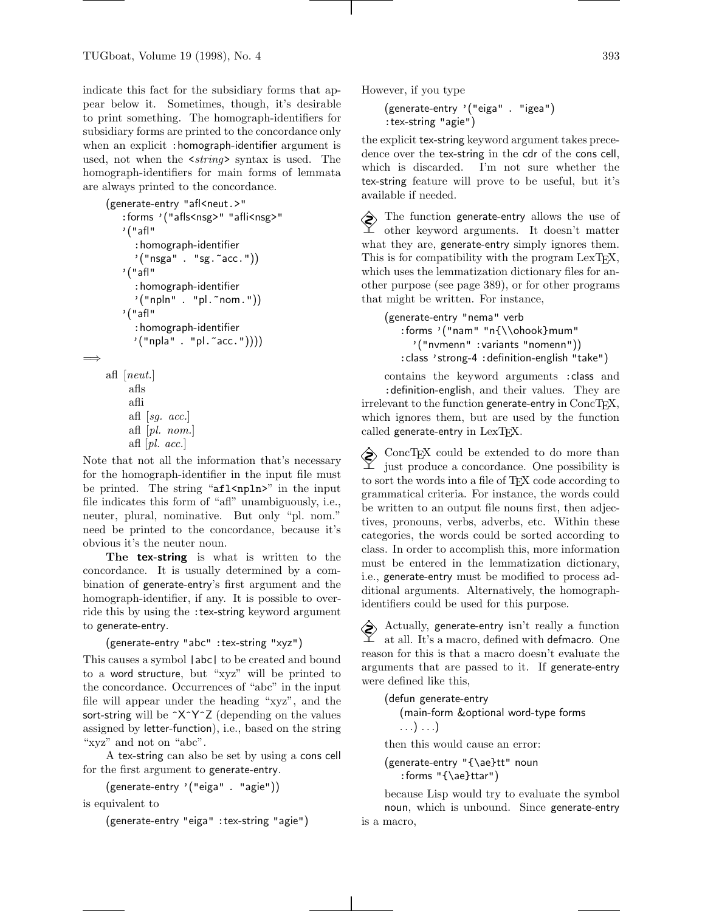indicate this fact for the subsidiary forms that appear below it. Sometimes, though, it's desirable to print something. The homograph-identifiers for subsidiary forms are printed to the concordance only when an explicit : homograph-identifier argument is used, not when the  $\leq$ *string*> syntax is used. The homograph-identifiers for main forms of lemmata are always printed to the concordance.

```
(generate-entry "afl<neut.>"
       :forms '("afls<nsg>" "afli<nsg>"
       '("afl"
          :homograph-identifier
          '("nsga" . "sg.^*acc.")'("afl"
          :homograph-identifier
          '("npln" . "pl. "nom.")
       '("afl"
          :homograph-identifier
          '("npla" . "pl."acc."))))=⇒
    afl [neut.]
```

```
afls
afli
afl [sg. \; acc.]afl [pl. nom.]
afl [pl. acc.
```
Note that not all the information that's necessary for the homograph-identifier in the input file must be printed. The string "afl<npln>" in the input file indicates this form of "afl" unambiguously, i.e., neuter, plural, nominative. But only "pl. nom." need be printed to the concordance, because it's obvious it's the neuter noun.

The tex-string is what is written to the concordance. It is usually determined by a combination of generate-entry's first argument and the homograph-identifier, if any. It is possible to override this by using the :tex-string keyword argument to generate-entry.

```
(generate-entry "abc" :tex-string "xyz")
```
This causes a symbol  $|abc|$  to be created and bound to a word structure, but "xyz" will be printed to the concordance. Occurrences of "abc" in the input file will appear under the heading "xyz", and the sort-string will be  $\gamma \gamma \gamma Z$  (depending on the values assigned by letter-function), i.e., based on the string "xyz" and not on "abc".

A tex-string can also be set by using a cons cell for the first argument to generate-entry.

```
(generate-entry '("eiga". "agie"))
```
is equivalent to

(generate-entry "eiga" :tex-string "agie")

However, if you type

(generate-entry '("eiga". "igea") :tex-string "agie")

the explicit tex-string keyword argument takes precedence over the tex-string in the cdr of the cons cell, which is discarded. I'm not sure whether the tex-string feature will prove to be useful, but it's available if needed.

 $\diamondsuit$  The function generate-entry allows the use of other keyword arguments. It doesn't matter what they are, generate-entry simply ignores them. This is for compatibility with the program  $LexTrX$ , which uses the lemmatization dictionary files for another purpose (see page 389), or for other programs that might be written. For instance,

(generate-entry "nema" verb :forms '("nam" "n{\\ohook}mum" '("nvmenn" :variants "nomenn")) :class 'strong-4 :definition-english "take")

contains the keyword arguments :class and :definition-english, and their values. They are  $irrelevant to the function generate-entry in  $ConcTrX$ ,$ which ignores them, but are used by the function called generate-entry in LexTFX.

 ConcTEX could be extended to do more than just produce a concordance. One possibility is to sort the words into a file of TEX code according to grammatical criteria. For instance, the words could be written to an output file nouns first, then adjectives, pronouns, verbs, adverbs, etc. Within these categories, the words could be sorted according to class. In order to accomplish this, more information must be entered in the lemmatization dictionary, i.e., generate-entry must be modified to process additional arguments. Alternatively, the homographidentifiers could be used for this purpose.

Actually, generate-entry isn't really a function<br>at all It's a morphism of  $\mathbb{R}^n$ at all. It's a macro, defined with defmacro. One reason for this is that a macro doesn't evaluate the arguments that are passed to it. If generate-entry were defined like this,

(defun generate-entry (main-form &optional word-type forms ...) ...)

then this would cause an error:

(generate-entry "{\ae}tt" noun :forms "{\ae}ttar")

because Lisp would try to evaluate the symbol noun, which is unbound. Since generate-entry is a macro,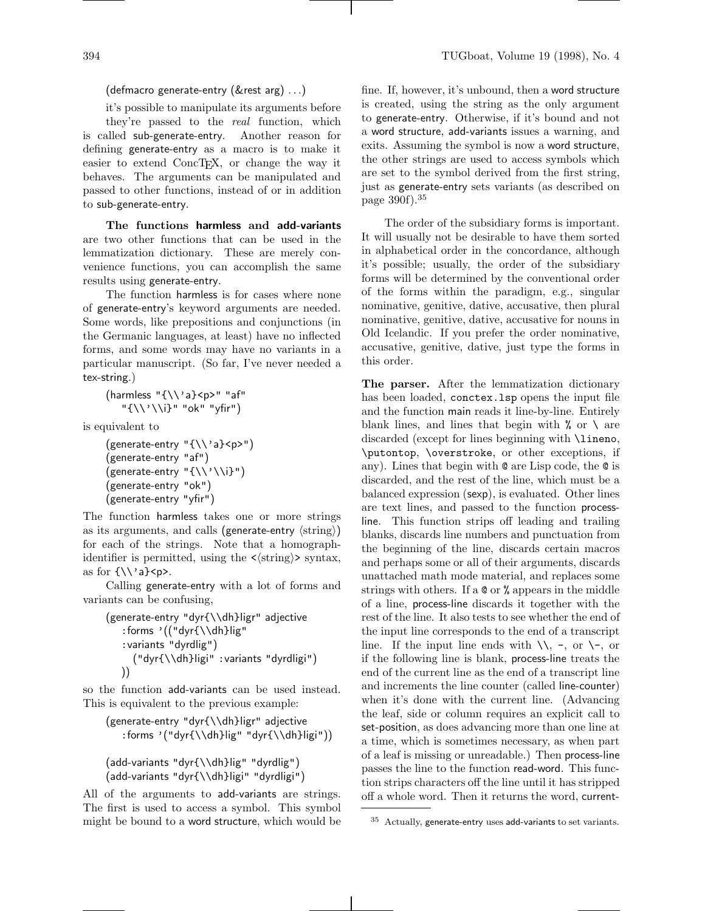# (defmacro generate-entry (&rest arg) ...)

it's possible to manipulate its arguments before they're passed to the real function, which is called sub-generate-entry. Another reason for defining generate-entry as a macro is to make it easier to extend ConcTEX, or change the way it behaves. The arguments can be manipulated and passed to other functions, instead of or in addition to sub-generate-entry.

The functions harmless and add-variants are two other functions that can be used in the lemmatization dictionary. These are merely convenience functions, you can accomplish the same results using generate-entry.

The function harmless is for cases where none of generate-entry's keyword arguments are needed. Some words, like prepositions and conjunctions (in the Germanic languages, at least) have no inflected forms, and some words may have no variants in a particular manuscript. (So far, I've never needed a tex-string.)

$$
(\text{harmless }\text{``}\{\\\}'a\}< p> \text{'' a}f\text{''}\text{``}\{\\\}'\\\i\} \text{''\text{''} ok\text{''\text{''}}yfir\text{''}\text{)}
$$

is equivalent to

```
(generate-entry "{\\'a}<p>")
(generate-entry "af")
(generate-entry "{\\'\\i}")
(generate-entry "ok")
(generate-entry "yfir")
```
The function harmless takes one or more strings as its arguments, and calls (generate-entry  $\langle$ string $\rangle$ ) for each of the strings. Note that a homographidentifier is permitted, using the  $\langle \text{string} \rangle$  syntax, as for  ${\{\langle \rangle\} \text{a}}$   $\langle p \rangle$ .

Calling generate-entry with a lot of forms and variants can be confusing,

```
(generate-entry "dyr{\\dh}ligr" adjective
   :forms '(("dyr{\\dh}lig"
   :variants "dyrdlig")
     ("dyr{\\dh}ligi" :variants "dyrdligi")
   ))
```
so the function add-variants can be used instead. This is equivalent to the previous example:

```
(generate-entry "dyr{\\dh}ligr" adjective
   :forms '("dyr{\\dh}lig" "dyr{\\dh}ligi"))
```

```
(add-variants "dyr{\\dh}lig" "dyrdlig")
(add-variants "dyr{\\dh}ligi" "dyrdligi")
```
All of the arguments to add-variants are strings. The first is used to access a symbol. This symbol might be bound to a word structure, which would be

fine. If, however, it's unbound, then a word structure is created, using the string as the only argument to generate-entry. Otherwise, if it's bound and not a word structure, add-variants issues a warning, and exits. Assuming the symbol is now a word structure, the other strings are used to access symbols which are set to the symbol derived from the first string, just as generate-entry sets variants (as described on page 390f).<sup>35</sup>

The order of the subsidiary forms is important. It will usually not be desirable to have them sorted in alphabetical order in the concordance, although it's possible; usually, the order of the subsidiary forms will be determined by the conventional order of the forms within the paradigm, e.g., singular nominative, genitive, dative, accusative, then plural nominative, genitive, dative, accusative for nouns in Old Icelandic. If you prefer the order nominative, accusative, genitive, dative, just type the forms in this order.

The parser. After the lemmatization dictionary has been loaded, conctex.lsp opens the input file and the function main reads it line-by-line. Entirely blank lines, and lines that begin with  $\%$  or  $\setminus$  are discarded (except for lines beginning with \lineno, \putontop, \overstroke, or other exceptions, if any). Lines that begin with @ are Lisp code, the @ is discarded, and the rest of the line, which must be a balanced expression (sexp), is evaluated. Other lines are text lines, and passed to the function processline. This function strips off leading and trailing blanks, discards line numbers and punctuation from the beginning of the line, discards certain macros and perhaps some or all of their arguments, discards unattached math mode material, and replaces some strings with others. If a @ or % appears in the middle of a line, process-line discards it together with the rest of the line. It also tests to see whether the end of the input line corresponds to the end of a transcript line. If the input line ends with  $\setminus \setminus$ , -, or  $\setminus$ -, or if the following line is blank, process-line treats the end of the current line as the end of a transcript line and increments the line counter (called line-counter) when it's done with the current line. (Advancing the leaf, side or column requires an explicit call to set-position, as does advancing more than one line at a time, which is sometimes necessary, as when part of a leaf is missing or unreadable.) Then process-line passes the line to the function read-word. This function strips characters off the line until it has stripped off a whole word. Then it returns the word, current-

<sup>35</sup> Actually, generate-entry uses add-variants to set variants.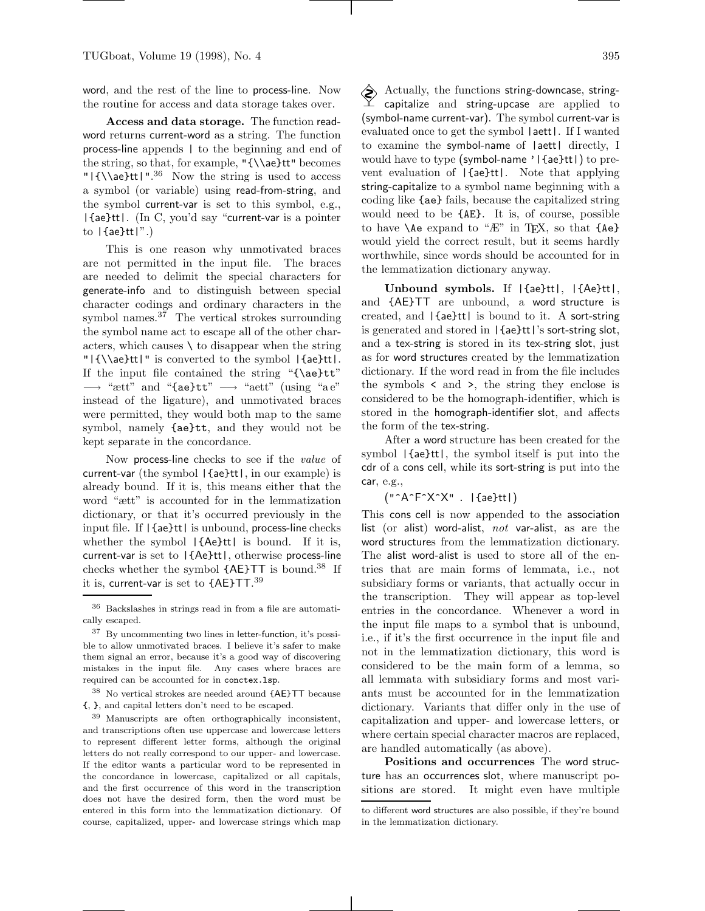word, and the rest of the line to process-line. Now the routine for access and data storage takes over.

Access and data storage. The function readword returns current-word as a string. The function process-line appends | to the beginning and end of the string, so that, for example, " ${\lambda e}tt"$  becomes " ${\{\lambda\ae}tt\}$ ".<sup>36</sup> Now the string is used to access a symbol (or variable) using read-from-string, and the symbol current-var is set to this symbol, e.g., |{ae}tt|. (In C, you'd say "current-var is a pointer to  $|\{ae\}tt|$ .)

This is one reason why unmotivated braces are not permitted in the input file. The braces are needed to delimit the special characters for generate-info and to distinguish between special character codings and ordinary characters in the symbol names.<sup>37</sup> The vertical strokes surrounding the symbol name act to escape all of the other characters, which causes  $\setminus$  to disappear when the string "|{\\ae}tt|" is converted to the symbol |{ae}tt|. If the input file contained the string "{\ae}tt"  $\longrightarrow$  " $\text{ætt"}$  and "{ae}tt"  $\longrightarrow$  " $\text{ætt"}$  (using "ae" instead of the ligature), and unmotivated braces were permitted, they would both map to the same symbol, namely {ae}tt, and they would not be kept separate in the concordance.

Now process-line checks to see if the value of current-var (the symbol |{ae}tt|, in our example) is already bound. If it is, this means either that the word "ætt" is accounted for in the lemmatization dictionary, or that it's occurred previously in the input file. If |{ae}tt| is unbound, process-line checks whether the symbol |{Ae}tt| is bound. If it is, current-var is set to |{Ae}tt|, otherwise process-line checks whether the symbol  ${A\text{E}}$ TT is bound.<sup>38</sup> If it is, current-var is set to {AE}TT.<sup>39</sup>

 $^{38}\,$  No vertical strokes are needed around  $\{ {\sf AE} \} {\sf TT}$  because {, }, and capital letters don't need to be escaped.

<sup>39</sup> Manuscripts are often orthographically inconsistent, and transcriptions often use uppercase and lowercase letters to represent different letter forms, although the original letters do not really correspond to our upper- and lowercase. If the editor wants a particular word to be represented in the concordance in lowercase, capitalized or all capitals, and the first occurrence of this word in the transcription does not have the desired form, then the word must be entered in this form into the lemmatization dictionary. Of course, capitalized, upper- and lowercase strings which map

 $\diamondsuit$  Actually, the functions string-downcase, stringcapitalize and string-upcase are applied to (symbol-name current-var). The symbol current-var is evaluated once to get the symbol |aett|. If I wanted to examine the symbol-name of |aett| directly, I would have to type (symbol-name '|{ae}tt|) to prevent evaluation of |{ae}tt|. Note that applying string-capitalize to a symbol name beginning with a coding like {ae} fails, because the capitalized string would need to be {AE}. It is, of course, possible to have  $\text{Ae}$  expand to " $E$ " in T<sub>F</sub>X, so that  $\{Ae\}$ would yield the correct result, but it seems hardly worthwhile, since words should be accounted for in the lemmatization dictionary anyway.

Unbound symbols. If |{ae}tt|, |{Ae}tt|, and {AE}TT are unbound, a word structure is created, and |{ae}tt| is bound to it. A sort-string is generated and stored in |{ae}tt|'s sort-string slot, and a tex-string is stored in its tex-string slot, just as for word structures created by the lemmatization dictionary. If the word read in from the file includes the symbols < and >, the string they enclose is considered to be the homograph-identifier, which is stored in the homograph-identifier slot, and affects the form of the tex-string.

After a word structure has been created for the symbol |{ae}tt|, the symbol itself is put into the cdr of a cons cell, while its sort-string is put into the car, e.g.,

("^A^F^X^X" . |{ae}tt|)

This cons cell is now appended to the association list (or alist) word-alist, not var-alist, as are the word structures from the lemmatization dictionary. The alist word-alist is used to store all of the entries that are main forms of lemmata, i.e., not subsidiary forms or variants, that actually occur in the transcription. They will appear as top-level entries in the concordance. Whenever a word in the input file maps to a symbol that is unbound, i.e., if it's the first occurrence in the input file and not in the lemmatization dictionary, this word is considered to be the main form of a lemma, so all lemmata with subsidiary forms and most variants must be accounted for in the lemmatization dictionary. Variants that differ only in the use of capitalization and upper- and lowercase letters, or where certain special character macros are replaced, are handled automatically (as above).

Positions and occurrences The word structure has an occurrences slot, where manuscript positions are stored. It might even have multiple

<sup>36</sup> Backslashes in strings read in from a file are automatically escaped.

<sup>37</sup> By uncommenting two lines in letter-function, it's possible to allow unmotivated braces. I believe it's safer to make them signal an error, because it's a good way of discovering mistakes in the input file. Any cases where braces are required can be accounted for in conctex.lsp.

to different word structures are also possible, if they're bound in the lemmatization dictionary.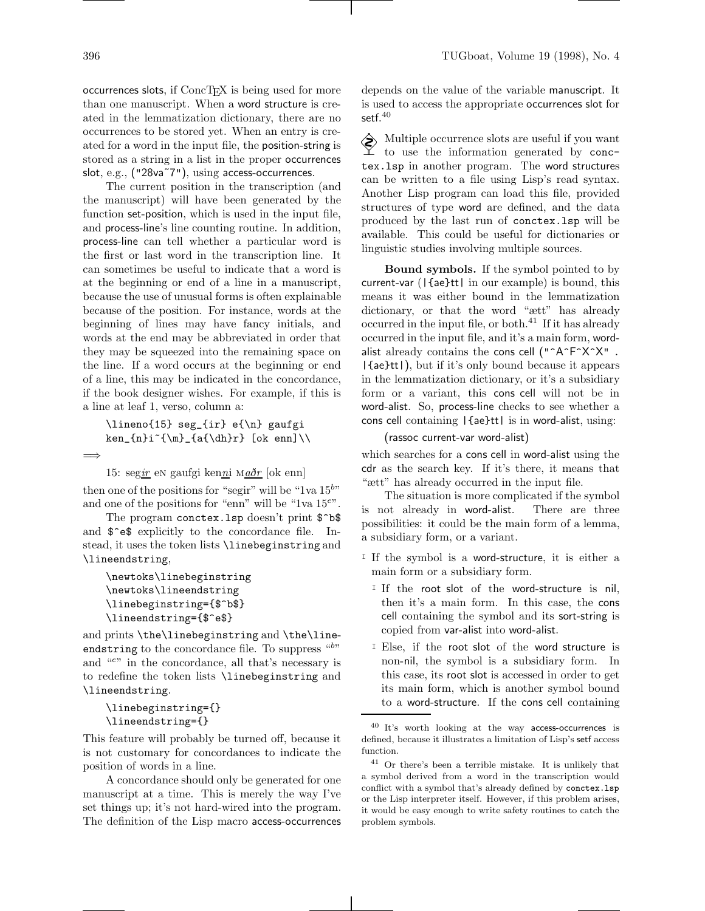$occurrences$  slots, if  $ConcTrX$  is being used for more than one manuscript. When a word structure is created in the lemmatization dictionary, there are no occurrences to be stored yet. When an entry is created for a word in the input file, the position-string is stored as a string in a list in the proper occurrences slot, e.g., ("28va˜7"), using access-occurrences.

The current position in the transcription (and the manuscript) will have been generated by the function set-position, which is used in the input file, and process-line's line counting routine. In addition, process-line can tell whether a particular word is the first or last word in the transcription line. It can sometimes be useful to indicate that a word is at the beginning or end of a line in a manuscript, because the use of unusual forms is often explainable because of the position. For instance, words at the beginning of lines may have fancy initials, and words at the end may be abbreviated in order that they may be squeezed into the remaining space on the line. If a word occurs at the beginning or end of a line, this may be indicated in the concordance, if the book designer wishes. For example, if this is a line at leaf 1, verso, column a:

```
\lineno{15} seg_{ir} e{\n} gaufgi
ken_{n}i~{\m}_{a{\dh}r} [ok enn]\\
```
=⇒

15: segir en gaufgi kenni maðr [ok enn]

then one of the positions for "segir" will be "1va  $15^{by}$ " and one of the positions for "enn" will be "1va 15<sup>e</sup>".

The program conctex.lsp doesn't print  $\$ ^b and  $\$ e<sup> $\circ$ </sup> $e$  $\$  $\circ$  explicitly to the concordance file. Instead, it uses the token lists \linebeginstring and \lineendstring,

```
\newtoks\linebeginstring
\newtoks\lineendstring
\linebeginstring={$^b$}
\lineendstring={$^e$}
```
and prints \the\linebeginstring and \the\lineendstring to the concordance file. To suppress "b" and "e" in the concordance, all that's necessary is to redefine the token lists \linebeginstring and \lineendstring.

```
\linebeginstring={}
\lineendstring={}
```
This feature will probably be turned off, because it is not customary for concordances to indicate the position of words in a line.

A concordance should only be generated for one manuscript at a time. This is merely the way I've set things up; it's not hard-wired into the program. The definition of the Lisp macro access-occurrences

depends on the value of the variable manuscript. It is used to access the appropriate occurrences slot for setf. $40$ 

Multiple occurrence slots are useful if you want to use the information generated by conctex.lsp in another program. The word structures can be written to a file using Lisp's read syntax. Another Lisp program can load this file, provided structures of type word are defined, and the data produced by the last run of conctex.lsp will be available. This could be useful for dictionaries or linguistic studies involving multiple sources.

Bound symbols. If the symbol pointed to by current-var (|{ae}tt| in our example) is bound, this means it was either bound in the lemmatization dictionary, or that the word "ætt" has already occurred in the input file, or both. $^{41}$  If it has already occurred in the input file, and it's a main form, wordalist already contains the cons cell  $("A^F^*X^*X"$ . |{ae}tt|), but if it's only bound because it appears in the lemmatization dictionary, or it's a subsidiary form or a variant, this cons cell will not be in word-alist. So, process-line checks to see whether a cons cell containing |{ae}tt| is in word-alist, using:

(rassoc current-var word-alist)

which searches for a cons cell in word-alist using the cdr as the search key. If it's there, it means that "ætt" has already occurred in the input file.

The situation is more complicated if the symbol is not already in word-alist. There are three possibilities: it could be the main form of a lemma, a subsidiary form, or a variant.

- I If the symbol is a word-structure, it is either a main form or a subsidiary form.
	- I If the root slot of the word-structure is nil, then it's a main form. In this case, the cons cell containing the symbol and its sort-string is copied from var-alist into word-alist.
	- I Else, if the root slot of the word structure is non-nil, the symbol is a subsidiary form. In this case, its root slot is accessed in order to get its main form, which is another symbol bound to a word-structure. If the cons cell containing

<sup>40</sup> It's worth looking at the way access-occurrences is defined, because it illustrates a limitation of Lisp's setf access function.

<sup>41</sup> Or there's been a terrible mistake. It is unlikely that a symbol derived from a word in the transcription would conflict with a symbol that's already defined by conctex.lsp or the Lisp interpreter itself. However, if this problem arises, it would be easy enough to write safety routines to catch the problem symbols.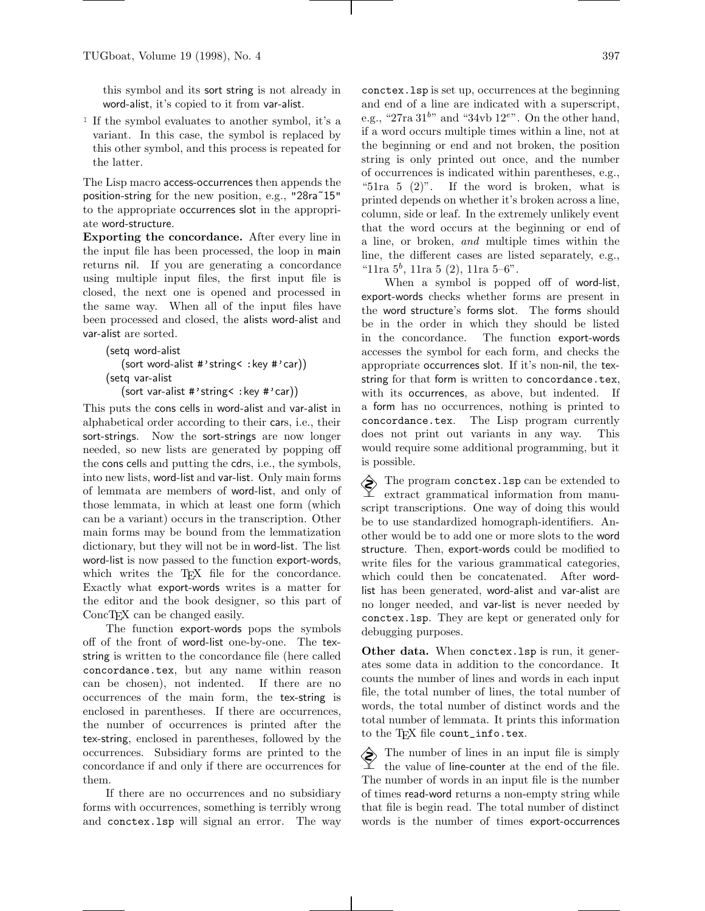this symbol and its sort string is not already in word-alist, it's copied to it from var-alist.

<sup>I</sup> If the symbol evaluates to another symbol, it's a variant. In this case, the symbol is replaced by this other symbol, and this process is repeated for the latter.

The Lisp macro access-occurrences then appends the position-string for the new position, e.g., "28ra˜15" to the appropriate occurrences slot in the appropriate word-structure.

Exporting the concordance. After every line in the input file has been processed, the loop in main returns nil. If you are generating a concordance using multiple input files, the first input file is closed, the next one is opened and processed in the same way. When all of the input files have been processed and closed, the alists word-alist and var-alist are sorted.

```
(setq word-alist
   (sort word-alist #'string< :key #'car))
(setq var-alist
```
(sort var-alist #'string< :key #'car))

This puts the cons cells in word-alist and var-alist in alphabetical order according to their cars, i.e., their sort-strings. Now the sort-strings are now longer needed, so new lists are generated by popping off the cons cells and putting the cdrs, i.e., the symbols, into new lists, word-list and var-list. Only main forms of lemmata are members of word-list, and only of those lemmata, in which at least one form (which can be a variant) occurs in the transcription. Other main forms may be bound from the lemmatization dictionary, but they will not be in word-list. The list word-list is now passed to the function export-words, which writes the T<sub>EX</sub> file for the concordance. Exactly what export-words writes is a matter for the editor and the book designer, so this part of ConcT<sub>F</sub>X can be changed easily.

The function export-words pops the symbols off of the front of word-list one-by-one. The texstring is written to the concordance file (here called concordance.tex, but any name within reason can be chosen), not indented. If there are no occurrences of the main form, the tex-string is enclosed in parentheses. If there are occurrences, the number of occurrences is printed after the tex-string, enclosed in parentheses, followed by the occurrences. Subsidiary forms are printed to the concordance if and only if there are occurrences for them.

If there are no occurrences and no subsidiary forms with occurrences, something is terribly wrong and conctex.lsp will signal an error. The way conctex.lsp is set up, occurrences at the beginning and end of a line are indicated with a superscript, e.g., "27ra  $31^{b}$ " and "34vb  $12^{e}$ ". On the other hand, if a word occurs multiple times within a line, not at the beginning or end and not broken, the position string is only printed out once, and the number of occurrences is indicated within parentheses, e.g., "51ra 5  $(2)$ ". If the word is broken, what is printed depends on whether it's broken across a line, column, side or leaf. In the extremely unlikely event that the word occurs at the beginning or end of a line, or broken, and multiple times within the line, the different cases are listed separately, e.g., "11ra  $5^b$ , 11ra  $5(2)$ , 11ra  $5-6$ ".

When a symbol is popped off of word-list, export-words checks whether forms are present in the word structure's forms slot. The forms should be in the order in which they should be listed in the concordance. The function export-words accesses the symbol for each form, and checks the appropriate occurrences slot. If it's non-nil, the texstring for that form is written to concordance.tex, with its occurrences, as above, but indented. If a form has no occurrences, nothing is printed to concordance.tex. The Lisp program currently does not print out variants in any way. This would require some additional programming, but it is possible.

 $\diamondsuit$  The program conctex. Isp can be extended to extract grammatical information from manuscript transcriptions. One way of doing this would be to use standardized homograph-identifiers. Another would be to add one or more slots to the word structure. Then, export-words could be modified to write files for the various grammatical categories, which could then be concatenated. After wordlist has been generated, word-alist and var-alist are no longer needed, and var-list is never needed by conctex.lsp. They are kept or generated only for debugging purposes.

Other data. When conctex.lsp is run, it generates some data in addition to the concordance. It counts the number of lines and words in each input file, the total number of lines, the total number of words, the total number of distinct words and the total number of lemmata. It prints this information to the TEX file count\_info.tex.

The number of lines in an input file is simply  $\perp$  the value of line-counter at the end of the file. The number of words in an input file is the number of times read-word returns a non-empty string while that file is begin read. The total number of distinct words is the number of times export-occurrences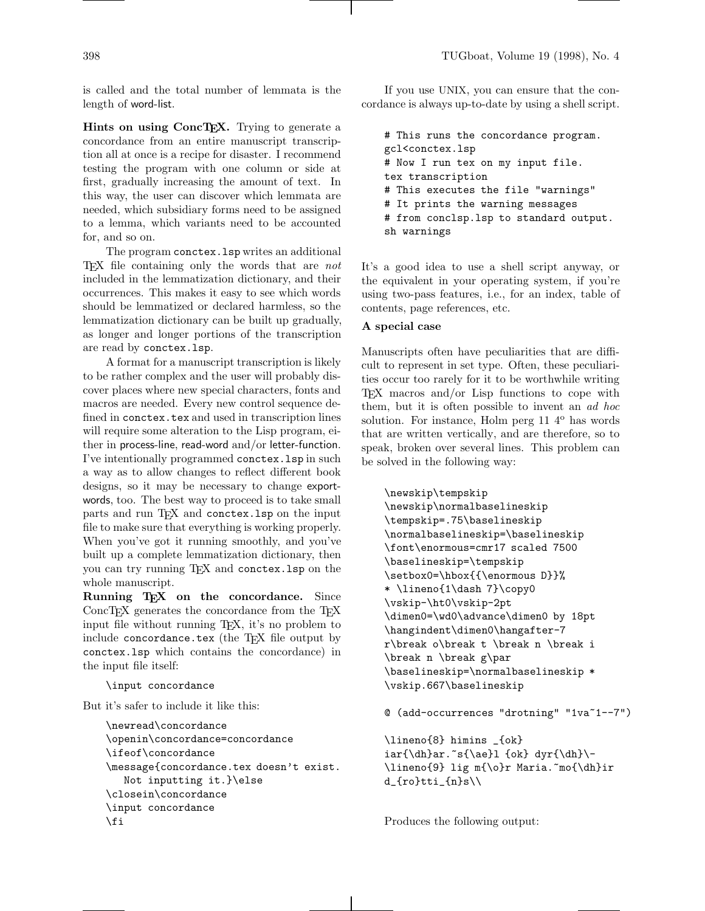is called and the total number of lemmata is the length of word-list.

Hints on using ConcTEX. Trying to generate a concordance from an entire manuscript transcription all at once is a recipe for disaster. I recommend testing the program with one column or side at first, gradually increasing the amount of text. In this way, the user can discover which lemmata are needed, which subsidiary forms need to be assigned to a lemma, which variants need to be accounted for, and so on.

The program conctex.lsp writes an additional T<sub>E</sub>X file containing only the words that are *not* included in the lemmatization dictionary, and their occurrences. This makes it easy to see which words should be lemmatized or declared harmless, so the lemmatization dictionary can be built up gradually, as longer and longer portions of the transcription are read by conctex.lsp.

A format for a manuscript transcription is likely to be rather complex and the user will probably discover places where new special characters, fonts and macros are needed. Every new control sequence defined in conctex.tex and used in transcription lines will require some alteration to the Lisp program, either in process-line, read-word and/or letter-function. I've intentionally programmed conctex.lsp in such a way as to allow changes to reflect different book designs, so it may be necessary to change exportwords, too. The best way to proceed is to take small parts and run TEX and conctex.lsp on the input file to make sure that everything is working properly. When you've got it running smoothly, and you've built up a complete lemmatization dictionary, then you can try running TEX and conctex.lsp on the whole manuscript.

Running TEX on the concordance. Since ConcTEX generates the concordance from the TEX input file without running T<sub>E</sub>X, it's no problem to include concordance.tex (the TEX file output by conctex.lsp which contains the concordance) in the input file itself:

\input concordance

But it's safer to include it like this:

```
\newread\concordance
\openin\concordance=concordance
\ifeof\concordance
\message{concordance.tex doesn't exist.
  Not inputting it.}\else
\closein\concordance
\input concordance
\fi
```
If you use UNIX, you can ensure that the concordance is always up-to-date by using a shell script.

# This runs the concordance program. gcl<conctex.lsp # Now I run tex on my input file. tex transcription # This executes the file "warnings" # It prints the warning messages # from conclsp.lsp to standard output. sh warnings

It's a good idea to use a shell script anyway, or the equivalent in your operating system, if you're using two-pass features, i.e., for an index, table of contents, page references, etc.

#### A special case

Manuscripts often have peculiarities that are difficult to represent in set type. Often, these peculiarities occur too rarely for it to be worthwhile writing TEX macros and/or Lisp functions to cope with them, but it is often possible to invent an ad hoc solution. For instance, Holm perg  $11\,4^{\circ}$  has words that are written vertically, and are therefore, so to speak, broken over several lines. This problem can be solved in the following way:

```
\newskip\tempskip
\newskip\normalbaselineskip
\tempskip=.75\baselineskip
\normalbaselineskip=\baselineskip
\font\enormous=cmr17 scaled 7500
\baselineskip=\tempskip
\setbox0=\hbox{{\enormous D}}%
* \lineno{1\dash 7}\copy0
\vskip-\ht0\vskip-2pt
\dimen0=\wd0\advance\dimen0 by 18pt
\hangindent\dimen0\hangafter-7
r\break o\break t \break n \break i
\break n \break g\par
\baselineskip=\normalbaselineskip *
\vskip.667\baselineskip
```
@ (add-occurrences "drotning" "1va~1--7")

```
\lineno{8} himins _{ok}
iar{\dh}ar.^s{\ae}l {ok} dyr{\dh} \\lineno{9} lig m{\o}r Maria.~mo{\dh}ir
d_{ro}tti_{n}s\\
```
Produces the following output: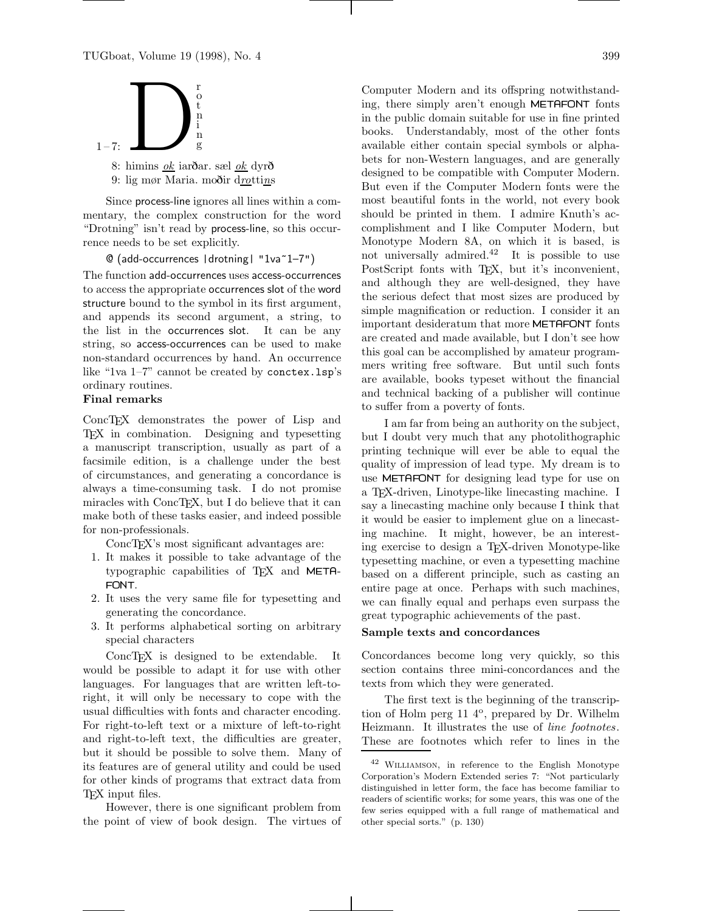

8: himins ok iarðar. sæl ok dyr<sup>ð</sup> 9: lig mør Maria. moðir drottins

Since process-line ignores all lines within a commentary, the complex construction for the word "Drotning" isn't read by process-line, so this occurrence needs to be set explicitly.

#### @ (add-occurrences |drotning| "1va~1–7")

The function add-occurrences uses access-occurrences to access the appropriate occurrences slot of the word structure bound to the symbol in its first argument, and appends its second argument, a string, to the list in the occurrences slot. It can be any string, so access-occurrences can be used to make non-standard occurrences by hand. An occurrence like "1va 1–7" cannot be created by conctex.lsp's ordinary routines.

# Final remarks

ConcT<sub>E</sub>X demonstrates the power of Lisp and TEX in combination. Designing and typesetting a manuscript transcription, usually as part of a facsimile edition, is a challenge under the best of circumstances, and generating a concordance is always a time-consuming task. I do not promise miracles with ConcTEX, but I do believe that it can make both of these tasks easier, and indeed possible for non-professionals.

ConcT<sub>EX</sub>'s most significant advantages are:

- 1. It makes it possible to take advantage of the typographic capabilities of T<sub>E</sub>X and META-FONT.
- 2. It uses the very same file for typesetting and generating the concordance.
- 3. It performs alphabetical sorting on arbitrary special characters

ConcTEX is designed to be extendable. It would be possible to adapt it for use with other languages. For languages that are written left-toright, it will only be necessary to cope with the usual difficulties with fonts and character encoding. For right-to-left text or a mixture of left-to-right and right-to-left text, the difficulties are greater, but it should be possible to solve them. Many of its features are of general utility and could be used for other kinds of programs that extract data from TEX input files.

However, there is one significant problem from the point of view of book design. The virtues of Computer Modern and its offspring notwithstanding, there simply aren't enough METAFONT fonts in the public domain suitable for use in fine printed books. Understandably, most of the other fonts available either contain special symbols or alphabets for non-Western languages, and are generally designed to be compatible with Computer Modern. But even if the Computer Modern fonts were the most beautiful fonts in the world, not every book should be printed in them. I admire Knuth's accomplishment and I like Computer Modern, but Monotype Modern 8A, on which it is based, is not universally admired.<sup>42</sup> It is possible to use PostScript fonts with TEX, but it's inconvenient, and although they are well-designed, they have the serious defect that most sizes are produced by simple magnification or reduction. I consider it an important desideratum that more METAFONT fonts are created and made available, but I don't see how this goal can be accomplished by amateur programmers writing free software. But until such fonts are available, books typeset without the financial and technical backing of a publisher will continue to suffer from a poverty of fonts.

I am far from being an authority on the subject, but I doubt very much that any photolithographic printing technique will ever be able to equal the quality of impression of lead type. My dream is to use METAFONT for designing lead type for use on a TEX-driven, Linotype-like linecasting machine. I say a linecasting machine only because I think that it would be easier to implement glue on a linecasting machine. It might, however, be an interesting exercise to design a TEX-driven Monotype-like typesetting machine, or even a typesetting machine based on a different principle, such as casting an entire page at once. Perhaps with such machines, we can finally equal and perhaps even surpass the great typographic achievements of the past.

## Sample texts and concordances

Concordances become long very quickly, so this section contains three mini-concordances and the texts from which they were generated.

The first text is the beginning of the transcription of Holm perg 11 4°, prepared by Dr. Wilhelm Heizmann. It illustrates the use of line footnotes. These are footnotes which refer to lines in the

<sup>42</sup> Williamson, in reference to the English Monotype Corporation's Modern Extended series 7: "Not particularly distinguished in letter form, the face has become familiar to readers of scientific works; for some years, this was one of the few series equipped with a full range of mathematical and other special sorts." (p. 130)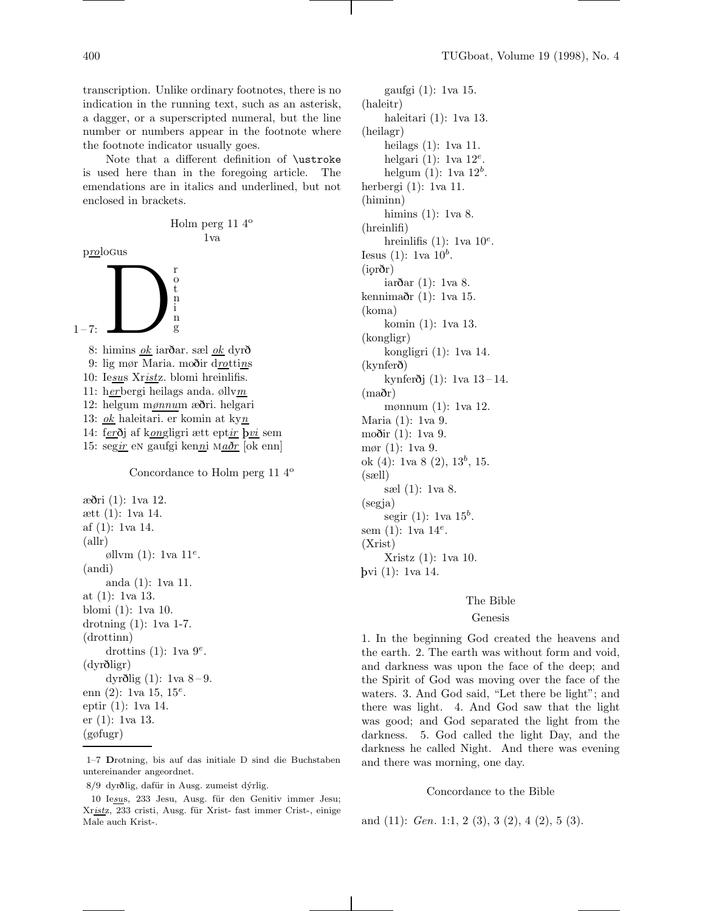transcription. Unlike ordinary footnotes, there is no indication in the running text, such as an asterisk, a dagger, or a superscripted numeral, but the line number or numbers appear in the footnote where the footnote indicator usually goes.

Note that a different definition of \ustroke is used here than in the foregoing article. The emendations are in italics and underlined, but not enclosed in brackets.

$$
\begin{array}{c} \text{Holm perg 11 4}^{\text{o}} \\ \text{1va} \end{array}
$$

prologus



8: himins  $\mathfrak{g}_k$  iarðar. sæl  $\mathfrak{g}_k$  dyrð 9: lig mør Maria. moðir drottins 10: Iesus Xristz. blomi hreinlifis. 11: herbergi heilags anda. øllvm 12: helgum mønnum æðri. helgari 13: ok haleitari. er komin at kyn 14: fer <sup>ð</sup>j af kongligri ætt eptir <sup>þ</sup>vi sem 15: segir en gaufgi kenni Ma $\delta r$  [ok enn] Concordance to Holm perg 11 4<sup>o</sup>

æðri (1): 1va 12. ætt (1): 1va 14. af (1): 1va 14. (allr) øllvm  $(1)$ : 1va  $11^e$ . (andi) anda (1): 1va 11. at (1): 1va 13. blomi (1): 1va 10. drotning (1): 1va 1-7. (drottinn) drottins (1): 1va  $9^e$ . (dyrðligr) dyrðlig  $(1)$ : 1va 8-9. enn  $(2)$ : 1va 15, 15<sup>e</sup>. eptir (1): 1va 14. er (1): 1va 13. (gøfugr)

1–7 Drotning, bis auf das initiale D sind die Buchstaben untereinander angeordnet.

gaufgi (1): 1va 15. (haleitr) haleitari (1): 1va 13. (heilagr) heilags (1): 1va 11. helgari (1): 1va  $12^e$ . helgum  $(1)$ : 1va  $12^b$ . herbergi (1): 1va 11. (himinn) himins (1): 1va 8. (hreinlifi) hreinlifis (1): 1va  $10^e$ . Iesus (1): 1va  $10^b$ .  $(ior\delta r)$ iarðar (1): 1va 8. kennimaðr (1): 1va 15. (koma) komin (1): 1va 13. (kongligr) kongligri (1): 1va 14. (kynferð) kynferðj $(1)$ : 1 va $13 - 14$ . (maðr) mønnum (1): 1va 12. Maria (1): 1va 9. moðir (1): 1va 9. mør (1): 1va 9. ok  $(4)$ : 1va 8  $(2)$ , 13<sup>b</sup>, 15. (sæll) sæl (1): 1va 8. (segja) segir (1): 1va  $15^b$ . sem  $(1)$ : 1va  $14^e$ . (Xrist) Xristz (1): 1va 10. <sup>þ</sup>vi (1): 1va 14.

## The Bible

#### Genesis

1. In the beginning God created the heavens and the earth. 2. The earth was without form and void, and darkness was upon the face of the deep; and the Spirit of God was moving over the face of the waters. 3. And God said, "Let there be light"; and there was light. 4. And God saw that the light was good; and God separated the light from the darkness. 5. God called the light Day, and the darkness he called Night. And there was evening and there was morning, one day.

#### Concordance to the Bible

and  $(11)$ : *Gen.* 1:1, 2  $(3)$ , 3  $(2)$ , 4  $(2)$ , 5  $(3)$ .

<sup>8/9</sup> dyrðlig, dafür in Ausg. zumeist dýrlig.

<sup>10</sup> Iesus, 233 Jesu, Ausg. für den Genitiv immer Jesu; Xristz, 233 cristi, Ausg. für Xrist- fast immer Crist-, einige Male auch Krist-.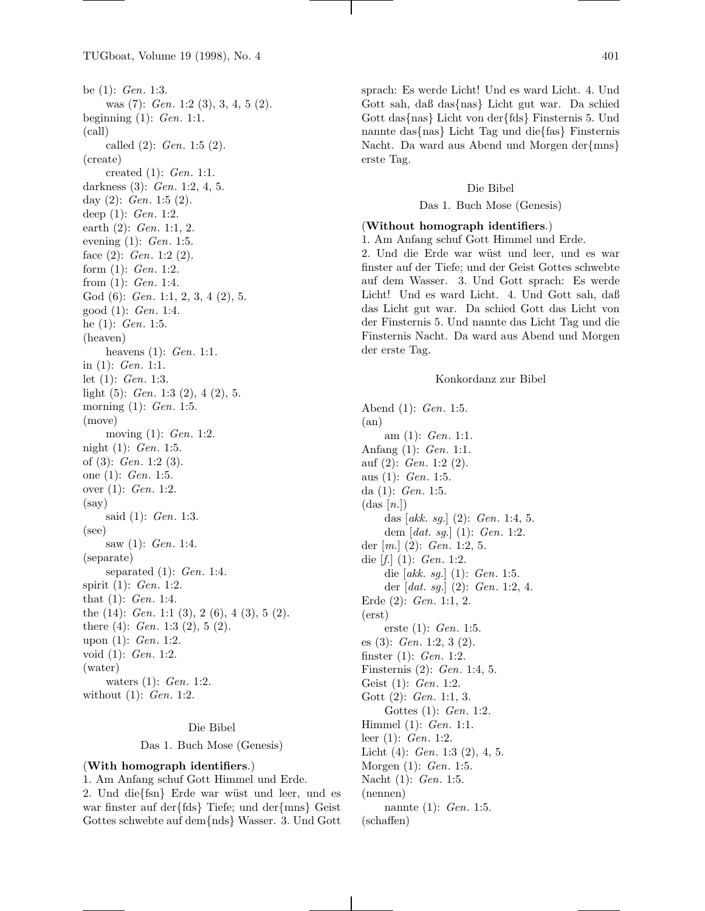be  $(1)$ : *Gen.* 1:3. was (7): *Gen.* 1:2 (3), 3, 4, 5 (2). beginning  $(1)$ : *Gen.* 1:1. (call) called  $(2)$ : *Gen.* 1:5  $(2)$ . (create) created (1): Gen. 1:1. darkness (3): Gen. 1:2, 4, 5. day  $(2)$ : *Gen.* 1:5  $(2)$ . deep (1): Gen. 1:2. earth (2): Gen. 1:1, 2. evening (1): Gen. 1:5. face  $(2)$ : *Gen.* 1:2  $(2)$ . form  $(1)$ : *Gen.* 1:2. from (1): Gen. 1:4. God  $(6)$ : *Gen.* 1:1, 2, 3, 4  $(2)$ , 5. good (1): Gen. 1:4. he  $(1)$ : *Gen.* 1:5. (heaven) heavens (1): *Gen.* 1:1. in (1): Gen. 1:1. let (1): Gen. 1:3. light  $(5)$ : *Gen.* 1:3  $(2)$ , 4  $(2)$ , 5. morning (1): *Gen.* 1:5. (move) moving  $(1)$ : *Gen.* 1:2. night (1): Gen. 1:5. of (3): Gen. 1:2 (3). one (1): Gen. 1:5. over (1): Gen. 1:2. (say) said  $(1)$ : *Gen.* 1:3. (see) saw (1): *Gen.* 1:4. (separate) separated  $(1)$ : *Gen.* 1:4. spirit (1): Gen. 1:2. that (1): Gen. 1:4. the  $(14)$ : *Gen.* 1:1  $(3)$ , 2  $(6)$ , 4  $(3)$ , 5  $(2)$ . there (4):  $Gen. 1:3 (2), 5 (2).$ upon (1): Gen. 1:2. void (1): Gen. 1:2. (water) waters (1): Gen. 1:2. without (1): Gen. 1:2.

### Die Bibel

Das 1. Buch Mose (Genesis)

### (With homograph identifiers.)

1. Am Anfang schuf Gott Himmel und Erde. 2. Und die{fsn} Erde war wüst und leer, und es war finster auf der{fds} Tiefe; und der{mns} Geist Gottes schwebte auf dem{nds} Wasser. 3. Und Gott

sprach: Es werde Licht! Und es ward Licht. 4. Und Gott sah, daß das{nas} Licht gut war. Da schied Gott das{nas} Licht von der{fds} Finsternis 5. Und nannte das{nas} Licht Tag und die{fas} Finsternis Nacht. Da ward aus Abend und Morgen der{mns} erste Tag.

### Die Bibel

#### Das 1. Buch Mose (Genesis)

# (Without homograph identifiers.)

1. Am Anfang schuf Gott Himmel und Erde.

2. Und die Erde war wüst und leer, und es war finster auf der Tiefe; und der Geist Gottes schwebte auf dem Wasser. 3. Und Gott sprach: Es werde Licht! Und es ward Licht. 4. Und Gott sah, daß das Licht gut war. Da schied Gott das Licht von der Finsternis 5. Und nannte das Licht Tag und die Finsternis Nacht. Da ward aus Abend und Morgen der erste Tag.

## Konkordanz zur Bibel

Abend (1): Gen. 1:5. (an) am (1): Gen. 1:1. Anfang (1): Gen. 1:1. auf  $(2)$ : *Gen.* 1:2  $(2)$ . aus (1): Gen. 1:5. da (1): Gen. 1:5.  $(das [n])$ das [akk. sg.]  $(2)$ : *Gen.* 1:4, 5. dem  $[dat. sg.](1): Gen. 1:2.$ der  $[m.](2)$ : *Gen.* 1:2, 5. die  $[f.](1)$ : *Gen.* 1:2. die  $[akk. sg.] (1): Gen. 1:5.$ der [dat. sg.] (2): Gen. 1:2, 4. Erde (2): Gen. 1:1, 2. (erst) erste (1): Gen. 1:5. es  $(3)$ : *Gen.* 1:2, 3  $(2)$ . finster (1): Gen. 1:2. Finsternis (2): Gen. 1:4, 5. Geist (1): Gen. 1:2. Gott (2): Gen. 1:1, 3. Gottes (1): Gen. 1:2. Himmel (1): Gen. 1:1. leer (1): Gen. 1:2. Licht  $(4)$ : *Gen.* 1:3  $(2)$ , 4, 5. Morgen (1): Gen. 1:5. Nacht (1): Gen. 1:5. (nennen) nannte (1): *Gen.* 1:5. (schaffen)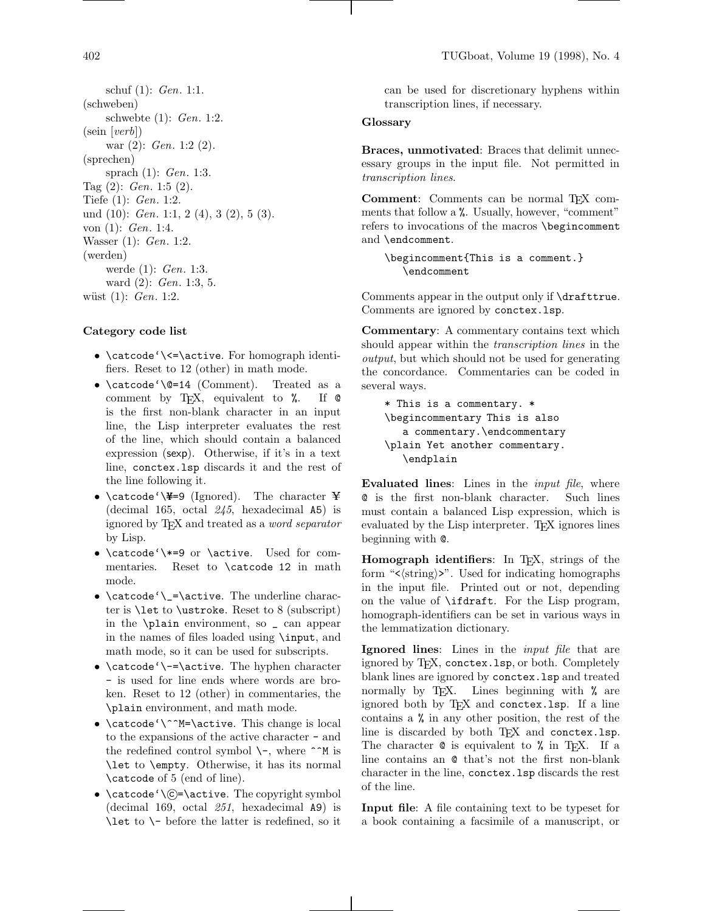schuf (1): Gen. 1:1. (schweben) schwebte (1): Gen. 1:2. (sein [verb]) war (2): Gen. 1:2 (2). (sprechen) sprach (1): Gen. 1:3. Tag (2): Gen. 1:5 (2). Tiefe (1): Gen. 1:2. und  $(10)$ : *Gen.* 1:1, 2  $(4)$ , 3  $(2)$ , 5  $(3)$ . von (1): Gen. 1:4. Wasser (1): Gen. 1:2. (werden) werde (1): Gen. 1:3. ward (2): Gen. 1:3, 5. wüst  $(1)$ : *Gen.* 1:2.

## Category code list

- \catcode'\<=\active. For homograph identifiers. Reset to 12 (other) in math mode.
- \catcode'\@=14 (Comment). Treated as a comment by TEX, equivalent to %. If @ is the first non-blank character in an input line, the Lisp interpreter evaluates the rest of the line, which should contain a balanced expression (sexp). Otherwise, if it's in a text line, conctex.lsp discards it and the rest of the line following it.
- \catcode'\¥=9 (Ignored). The character ¥ (decimal 165, octal 245, hexadecimal A5) is ignored by TEX and treated as a word separator by Lisp.
- \catcode'\\*=9 or \active. Used for commentaries. Reset to \catcode 12 in math mode.
- \catcode'\\_=\active. The underline character is \let to \ustroke. Reset to 8 (subscript) in the \plain environment, so \_ can appear in the names of files loaded using \input, and math mode, so it can be used for subscripts.
- $\catcode'$  + = \active. The hyphen character - is used for line ends where words are broken. Reset to 12 (other) in commentaries, the \plain environment, and math mode.
- \catcode'\^^M=\active. This change is local to the expansions of the active character - and the redefined control symbol  $\$ -, where  $\hat{\ }$ M is \let to \empty. Otherwise, it has its normal \catcode of 5 (end of line).
- $\catcode' \C = \active$ . The copyright symbol (decimal 169, octal 251, hexadecimal A9) is \let to \- before the latter is redefined, so it

can be used for discretionary hyphens within transcription lines, if necessary.

# **Glossary**

Braces, unmotivated: Braces that delimit unnecessary groups in the input file. Not permitted in transcription lines.

Comment: Comments can be normal TFX comments that follow a %. Usually, however, "comment" refers to invocations of the macros \begincomment and \endcomment.

\begincomment{This is a comment.} \endcomment

Comments appear in the output only if \drafttrue. Comments are ignored by conctex.lsp.

Commentary: A commentary contains text which should appear within the *transcription lines* in the output, but which should not be used for generating the concordance. Commentaries can be coded in several ways.

```
* This is a commentary. *
\begincommentary This is also
   a commentary.\endcommentary
\plain Yet another commentary.
   \endplain
```
Evaluated lines: Lines in the *input file*, where @ is the first non-blank character. Such lines must contain a balanced Lisp expression, which is evaluated by the Lisp interpreter. T<sub>EX</sub> ignores lines beginning with @.

Homograph identifiers: In T<sub>E</sub>X, strings of the form " $\langle \text{string} \rangle$ ". Used for indicating homographs in the input file. Printed out or not, depending on the value of \ifdraft. For the Lisp program, homograph-identifiers can be set in various ways in the lemmatization dictionary.

Ignored lines: Lines in the *input file* that are ignored by T<sub>F</sub>X, conctex. 1sp, or both. Completely blank lines are ignored by conctex.lsp and treated normally by T<sub>E</sub>X. Lines beginning with  $\%$  are ignored both by TEX and conctex.lsp. If a line contains a % in any other position, the rest of the line is discarded by both TEX and conctex.lsp. The character  $\circ$  is equivalent to  $\frac{\pi}{2}$  in T<sub>E</sub>X. If a line contains an @ that's not the first non-blank character in the line, conctex.lsp discards the rest of the line.

Input file: A file containing text to be typeset for a book containing a facsimile of a manuscript, or